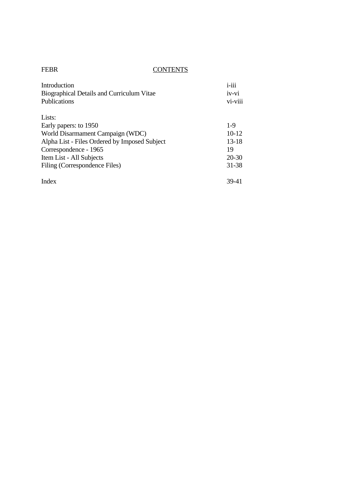| Introduction                                  | $i$ -iii  |
|-----------------------------------------------|-----------|
| Biographical Details and Curriculum Vitae     | iv-vi     |
| <b>Publications</b>                           | vi-viii   |
| Lists:                                        |           |
| Early papers: to 1950                         | $1-9$     |
| World Disarmament Campaign (WDC)              | $10-12$   |
| Alpha List - Files Ordered by Imposed Subject | $13 - 18$ |
| Correspondence - 1965                         | 19        |
| Item List - All Subjects                      | $20 - 30$ |
| Filing (Correspondence Files)                 | 31-38     |
| Index                                         | 39-41     |

FEBR CONTENTS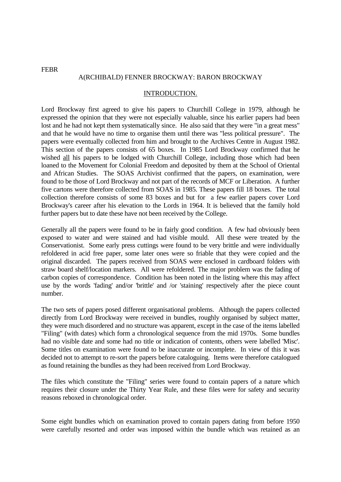## A(RCHIBALD) FENNER BROCKWAY: BARON BROCKWAY

#### INTRODUCTION.

Lord Brockway first agreed to give his papers to Churchill College in 1979, although he expressed the opinion that they were not especially valuable, since his earlier papers had been lost and he had not kept them systematically since. He also said that they were "in a great mess" and that he would have no time to organise them until there was "less political pressure". The papers were eventually collected from him and brought to the Archives Centre in August 1982. This section of the papers consists of 65 boxes. In 1985 Lord Brockway confirmed that he wished all his papers to be lodged with Churchill College, including those which had been loaned to the Movement for Colonial Freedom and deposited by them at the School of Oriental and African Studies. The SOAS Archivist confirmed that the papers, on examination, were found to be those of Lord Brockway and not part of the records of MCF or Liberation. A further five cartons were therefore collected from SOAS in 1985. These papers fill 18 boxes. The total collection therefore consists of some 83 boxes and but for a few earlier papers cover Lord Brockway's career after his elevation to the Lords in 1964. It is believed that the family hold further papers but to date these have not been received by the College.

Generally all the papers were found to be in fairly good condition. A few had obviously been exposed to water and were stained and had visible mould. All these were treated by the Conservationist. Some early press cuttings were found to be very brittle and were individually refoldered in acid free paper, some later ones were so friable that they were copied and the original discarded. The papers received from SOAS were enclosed in cardboard folders with straw board shelf/location markers. All were refoldered. The major problem was the fading of carbon copies of correspondence. Condition has been noted in the listing where this may affect use by the words 'fading' and/or 'brittle' and /or 'staining' respectively after the piece count number.

The two sets of papers posed different organisational problems. Although the papers collected directly from Lord Brockway were received in bundles, roughly organised by subject matter, they were much disordered and no structure was apparent, except in the case of the items labelled "Filing" (with dates) which form a chronological sequence from the mid 1970s. Some bundles had no visible date and some had no title or indication of contents, others were labelled 'Misc'. Some titles on examination were found to be inaccurate or incomplete. In view of this it was decided not to attempt to re-sort the papers before cataloguing. Items were therefore catalogued as found retaining the bundles as they had been received from Lord Brockway.

The files which constitute the "Filing" series were found to contain papers of a nature which requires their closure under the Thirty Year Rule, and these files were for safety and security reasons reboxed in chronological order.

Some eight bundles which on examination proved to contain papers dating from before 1950 were carefully resorted and order was imposed within the bundle which was retained as an

FEBR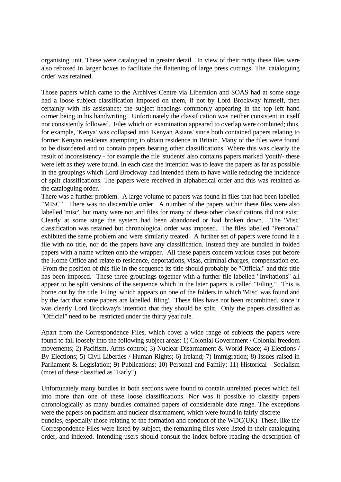organising unit. These were catalogued in greater detail. In view of their rarity these files were also reboxed in larger boxes to facilitate the flattening of large press cuttings. The 'cataloguing order' was retained.

Those papers which came to the Archives Centre via Liberation and SOAS had at some stage had a loose subject classification imposed on them, if not by Lord Brockway himself, then certainly with his assistance; the subject headings commonly appearing in the top left hand corner being in his handwriting. Unfortunately the classification was neither consistent in itself nor consistently followed. Files which on examination appeared to overlap were combined; thus, for example, 'Kenya' was collapsed into 'Kenyan Asians' since both contained papers relating to former Kenyan residents attempting to obtain residence in Britain. Many of the files were found to be disordered and to contain papers bearing other classifications. Where this was clearly the result of inconsistency - for example the file 'students' also contains papers marked 'youth'- these were left as they were found. In each case the intention was to leave the papers as far as possible in the groupings which Lord Brockway had intended them to have while reducing the incidence of split classifications. The papers were received in alphabetical order and this was retained as the cataloguing order.

There was a further problem. A large volume of papers was found in files that had been labelled "MISC". There was no discernible order. A number of the papers within these files were also labelled 'misc', but many were not and files for many of these other classifications did not exist. Clearly at some stage the system had been abandoned or had broken down. The 'Misc' classification was retained but chronological order was imposed. The files labelled "Personal" exhibited the same problem and were similarly treated. A further set of papers were found in a file with no title, nor do the papers have any classification. Instead they are bundled in folded papers with a name written onto the wrapper. All these papers concern various cases put before the Home Office and relate to residence, deportations, visas, criminal charges, compensation etc. From the position of this file in the sequence its title should probably be "Official" and this title has been imposed. These three groupings together with a further file labelled "Invitations" all appear to be split versions of the sequence which in the later papers is called "Filing." This is borne out by the title 'Filing' which appears on one of the folders in which 'Misc' was found and by the fact that some papers are labelled 'filing'. These files have not been recombined, since it was clearly Lord Brockway's intention that they should be split. Only the papers classified as "Official" need to be restricted under the thirty year rule.

Apart from the Correspondence Files, which cover a wide range of subjects the papers were found to fall loosely into the following subject areas: 1) Colonial Government / Colonial freedom movements; 2) Pacifism, Arms control; 3) Nuclear Disarmament & World Peace; 4) Elections / By Elections; 5) Civil Liberties / Human Rights; 6) Ireland; 7) Immigration; 8) Issues raised in Parliament & Legislation; 9) Publications; 10) Personal and Family; 11) Historical - Socialism (most of these classified as "Early").

Unfortunately many bundles in both sections were found to contain unrelated pieces which fell into more than one of these loose classifications. Nor was it possible to classify papers chronologically as many bundles contained papers of considerable date range. The exceptions were the papers on pacifism and nuclear disarmament, which were found in fairly discrete bundles, especially those relating to the formation and conduct of the WDC(UK). These, like the Correspondence Files were listed by subject, the remaining files were listed in their cataloguing order, and indexed. Intending users should consult the index before reading the description of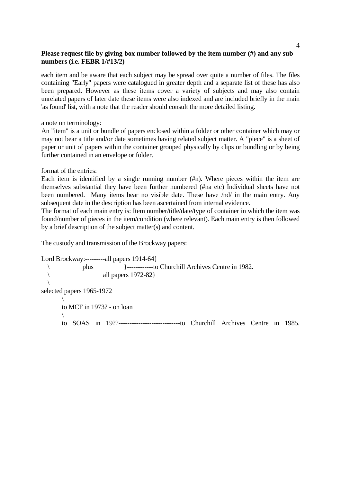each item and be aware that each subject may be spread over quite a number of files. The files containing "Early" papers were catalogued in greater depth and a separate list of these has also been prepared. However as these items cover a variety of subjects and may also contain unrelated papers of later date these items were also indexed and are included briefly in the main 'as found' list, with a note that the reader should consult the more detailed listing.

a note on terminology:

An "item" is a unit or bundle of papers enclosed within a folder or other container which may or may not bear a title and/or date sometimes having related subject matter. A "piece" is a sheet of paper or unit of papers within the container grouped physically by clips or bundling or by being further contained in an envelope or folder.

## format of the entries:

Each item is identified by a single running number (#n). Where pieces within the item are themselves substantial they have been further numbered (#na etc) Individual sheets have not been numbered. Many items bear no visible date. These have /nd/ in the main entry. Any subsequent date in the description has been ascertained from internal evidence.

The format of each main entry is: Item number/title/date/type of container in which the item was found/number of pieces in the item/condition (where relevant). Each main entry is then followed by a brief description of the subject matter(s) and content.

The custody and transmission of the Brockway papers:

Lord Brockway:---------all papers 1914-64} \ plus }------------to Churchill Archives Centre in 1982.  $\{\$  $\sqrt{2}$ selected papers 1965-1972  $\sqrt{2}$  to MCF in 1973? - on loan  $\sqrt{2}$ to SOAS in 19??----------------------------to Churchill Archives Centre in 1985.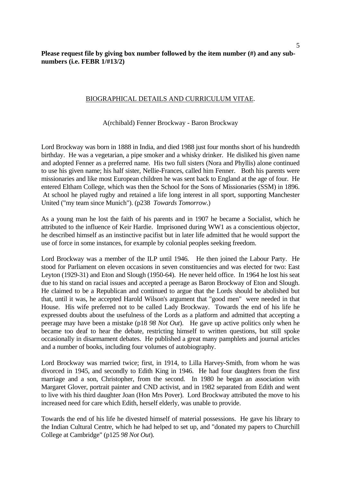## BIOGRAPHICAL DETAILS AND CURRICULUM VITAE.

#### A(rchibald) Fenner Brockway - Baron Brockway

Lord Brockway was born in 1888 in India, and died 1988 just four months short of his hundredth birthday. He was a vegetarian, a pipe smoker and a whisky drinker. He disliked his given name and adopted Fenner as a preferred name. His two full sisters (Nora and Phyllis) alone continued to use his given name; his half sister, Nellie-Frances, called him Fenner. Both his parents were missionaries and like most European children he was sent back to England at the age of four. He entered Eltham College, which was then the School for the Sons of Missionaries (SSM) in 1896. At school he played rugby and retained a life long interest in all sport, supporting Manchester United ("my team since Munich"). (p238 *Towards Tomorrow*.)

As a young man he lost the faith of his parents and in 1907 he became a Socialist, which he attributed to the influence of Keir Hardie. Imprisoned during WW1 as a conscientious objector, he described himself as an instinctive pacifist but in later life admitted that he would support the use of force in some instances, for example by colonial peoples seeking freedom.

Lord Brockway was a member of the ILP until 1946. He then joined the Labour Party. He stood for Parliament on eleven occasions in seven constituencies and was elected for two: East Leyton (1929-31) and Eton and Slough (1950-64). He never held office. In 1964 he lost his seat due to his stand on racial issues and accepted a peerage as Baron Brockway of Eton and Slough. He claimed to be a Republican and continued to argue that the Lords should be abolished but that, until it was, he accepted Harold Wilson's argument that "good men" were needed in that House. His wife preferred not to be called Lady Brockway. Towards the end of his life he expressed doubts about the usefulness of the Lords as a platform and admitted that accepting a peerage may have been a mistake (p18 *98 Not Out*). He gave up active politics only when he became too deaf to hear the debate, restricting himself to written questions, but still spoke occasionally in disarmament debates. He published a great many pamphlets and journal articles and a number of books, including four volumes of autobiography.

Lord Brockway was married twice; first, in 1914, to Lilla Harvey-Smith, from whom he was divorced in 1945, and secondly to Edith King in 1946. He had four daughters from the first marriage and a son, Christopher, from the second. In 1980 he began an association with Margaret Glover, portrait painter and CND activist, and in 1982 separated from Edith and went to live with his third daughter Joan (Hon Mrs Pover). Lord Brockway attributed the move to his increased need for care which Edith, herself elderly, was unable to provide.

Towards the end of his life he divested himself of material possessions. He gave his library to the Indian Cultural Centre, which he had helped to set up, and "donated my papers to Churchill College at Cambridge" (p125 *98 Not Out*).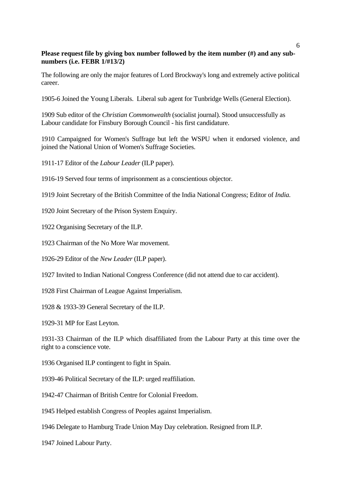The following are only the major features of Lord Brockway's long and extremely active political career.

1905-6 Joined the Young Liberals. Liberal sub agent for Tunbridge Wells (General Election).

1909 Sub editor of the *Christian Commonwealth* (socialist journal). Stood unsuccessfully as Labour candidate for Finsbury Borough Council - his first candidature.

1910 Campaigned for Women's Suffrage but left the WSPU when it endorsed violence, and joined the National Union of Women's Suffrage Societies.

1911-17 Editor of the *Labour Leader* (ILP paper).

1916-19 Served four terms of imprisonment as a conscientious objector.

1919 Joint Secretary of the British Committee of the India National Congress; Editor of *India.*

1920 Joint Secretary of the Prison System Enquiry.

1922 Organising Secretary of the ILP.

1923 Chairman of the No More War movement.

1926-29 Editor of the *New Leader* (ILP paper).

1927 Invited to Indian National Congress Conference (did not attend due to car accident).

1928 First Chairman of League Against Imperialism.

1928 & 1933-39 General Secretary of the ILP.

1929-31 MP for East Leyton.

1931-33 Chairman of the ILP which disaffiliated from the Labour Party at this time over the right to a conscience vote.

1936 Organised ILP contingent to fight in Spain.

1939-46 Political Secretary of the ILP: urged reaffiliation.

1942-47 Chairman of British Centre for Colonial Freedom.

1945 Helped establish Congress of Peoples against Imperialism.

1946 Delegate to Hamburg Trade Union May Day celebration. Resigned from ILP.

1947 Joined Labour Party.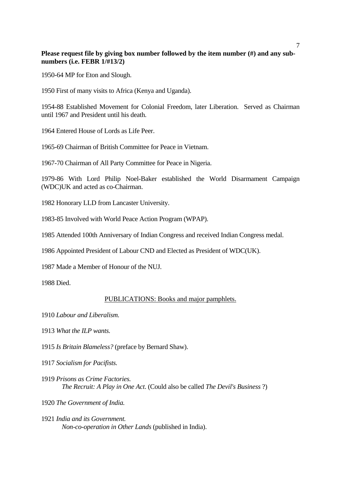1950-64 MP for Eton and Slough.

1950 First of many visits to Africa (Kenya and Uganda).

1954-88 Established Movement for Colonial Freedom, later Liberation. Served as Chairman until 1967 and President until his death.

1964 Entered House of Lords as Life Peer.

1965-69 Chairman of British Committee for Peace in Vietnam.

1967-70 Chairman of All Party Committee for Peace in Nigeria.

1979-86 With Lord Philip Noel-Baker established the World Disarmament Campaign (WDC)UK and acted as co-Chairman.

1982 Honorary LLD from Lancaster University.

1983-85 Involved with World Peace Action Program (WPAP).

1985 Attended 100th Anniversary of Indian Congress and received Indian Congress medal.

1986 Appointed President of Labour CND and Elected as President of WDC(UK).

1987 Made a Member of Honour of the NUJ.

1988 Died.

#### PUBLICATIONS: Books and major pamphlets.

- 1910 *Labour and Liberalism.*
- 1913 *What the ILP wants.*
- 1915 *Is Britain Blameless?* (preface by Bernard Shaw).
- 1917 *Socialism for Pacifists.*
- 1919 *Prisons as Crime Factories. The Recruit: A Play in One Act*. (Could also be called *The Devil's Business* ?)

1920 *The Government of India.*

1921 *India and its Government. Non-co-operation in Other Lands* (published in India).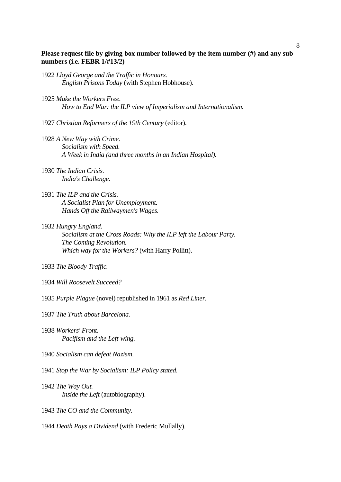- 1922 *Lloyd George and the Traffic in Honours. English Prisons Today* (with Stephen Hobhouse).
- 1925 *Make the Workers Free. How to End War: the ILP view of Imperialism and Internationalism.*

1927 *Christian Reformers of the 19th Century* (editor).

- 1928 *A New Way with Crime. Socialism with Speed. A Week in India (and three months in an Indian Hospital).*
- 1930 *The Indian Crisis. India's Challenge.*
- 1931 *The ILP and the Crisis. A Socialist Plan for Unemployment. Hands Off the Railwaymen's Wages.*
- 1932 *Hungry England.*

 *Socialism at the Cross Roads: Why the ILP left the Labour Party. The Coming Revolution. Which way for the Workers?* (with Harry Pollitt).

1933 *The Bloody Traffic.*

- 1934 *Will Roosevelt Succeed?*
- 1935 *Purple Plague* (novel) republished in 1961 as *Red Liner.*

1937 *The Truth about Barcelona.* 

- 1938 *Workers' Front. Pacifism and the Left-wing.*
- 1940 *Socialism can defeat Nazism.*
- 1941 *Stop the War by Socialism: ILP Policy stated.*
- 1942 *The Way Out. Inside the Left* (autobiography).
- 1943 *The CO and the Community.*
- 1944 *Death Pays a Dividend* (with Frederic Mullally).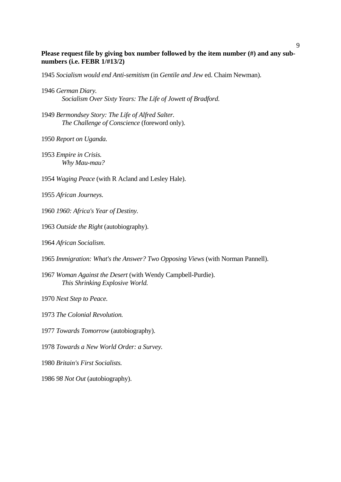*Socialism would end Anti-semitism* (in *Gentile and Jew* ed. Chaim Newman).

- *German Diary. Socialism Over Sixty Years: The Life of Jowett of Bradford.*
- *Bermondsey Story: The Life of Alfred Salter. The Challenge of Conscience* (foreword only).
- *Report on Uganda.*

*Empire in Crisis. Why Mau-mau?* 

*Waging Peace* (with R Acland and Lesley Hale).

*African Journeys.*

- *1960: Africa's Year of Destiny.*
- *Outside the Right* (autobiography).

*African Socialism*.

- *Immigration: What's the Answer? Two Opposing Views* (with Norman Pannell).
- *Woman Against the Desert* (with Wendy Campbell-Purdie).  *This Shrinking Explosive World.*

*Next Step to Peace.* 

- *The Colonial Revolution.*
- *Towards Tomorrow* (autobiography).

*Towards a New World Order: a Survey.*

*Britain's First Socialists.*

*98 Not Out* (autobiography).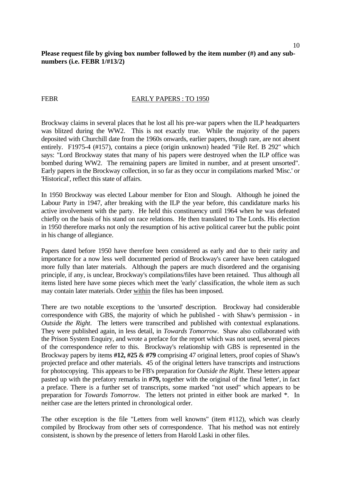## FEBR EARLY PAPERS : TO 1950

Brockway claims in several places that he lost all his pre-war papers when the ILP headquarters was blitzed during the WW2. This is not exactly true. While the majority of the papers deposited with Churchill date from the 1960s onwards, earlier papers, though rare, are not absent entirely. F1975-4 (#157), contains a piece (origin unknown) headed "File Ref. B 292" which says: "Lord Brockway states that many of his papers were destroyed when the ILP office was bombed during WW2. The remaining papers are limited in number, and at present unsorted". Early papers in the Brockway collection, in so far as they occur in compilations marked 'Misc.' or 'Historical', reflect this state of affairs.

In 1950 Brockway was elected Labour member for Eton and Slough. Although he joined the Labour Party in 1947, after breaking with the ILP the year before, this candidature marks his active involvement with the party. He held this constituency until 1964 when he was defeated chiefly on the basis of his stand on race relations. He then translated to The Lords. His election in 1950 therefore marks not only the resumption of his active political career but the public point in his change of allegiance.

Papers dated before 1950 have therefore been considered as early and due to their rarity and importance for a now less well documented period of Brockway's career have been catalogued more fully than later materials. Although the papers are much disordered and the organising principle, if any, is unclear, Brockway's compilations/files have been retained. Thus although all items listed here have some pieces which meet the 'early' classification, the whole item as such may contain later materials. Order within the files has been imposed.

There are two notable exceptions to the 'unsorted' description. Brockway had considerable correspondence with GBS, the majority of which he published - with Shaw's permission - in *Outside the Right*. The letters were transcribed and published with contextual explanations. They were published again, in less detail, in *Towards Tomorrow*. Shaw also collaborated with the Prison System Enquiry, and wrote a preface for the report which was not used, several pieces of the correspondence refer to this. Brockway's relationship with GBS is represented in the Brockway papers by items **#12, #25** & **#79** comprising 47 original letters, proof copies of Shaw's projected preface and other materials. 45 of the original letters have transcripts and instructions for photocopying. This appears to be FB's preparation for *Outside the Right*. These letters appear pasted up with the prefatory remarks in **#79,** together with the original of the final 'letter', in fact a preface. There is a further set of transcripts, some marked "not used" which appears to be preparation for *Towards Tomorrow*. The letters not printed in either book are marked \*. In neither case are the letters printed in chronological order.

The other exception is the file "Letters from well knowns" (item #112), which was clearly compiled by Brockway from other sets of correspondence. That his method was not entirely consistent, is shown by the presence of letters from Harold Laski in other files.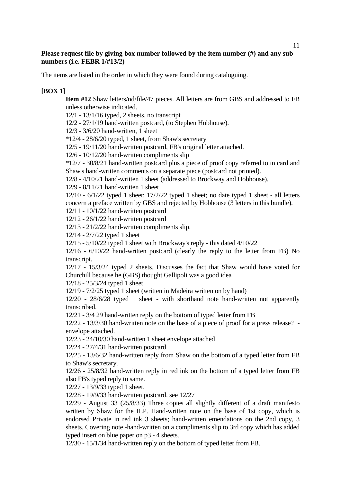The items are listed in the order in which they were found during cataloguing.

# **[BOX 1]**

**Item #12** Shaw letters/nd/file/47 pieces. All letters are from GBS and addressed to FB unless otherwise indicated.

12/1 - 13/1/16 typed, 2 sheets, no transcript

12/2 - 27/1/19 hand-written postcard, (to Stephen Hobhouse).

12/3 - 3/6/20 hand-written, 1 sheet

 $*12/4$  - 28/6/20 typed, 1 sheet, from Shaw's secretary

12/5 - 19/11/20 hand-written postcard, FB's original letter attached.

12/6 - 10/12/20 hand-written compliments slip

\*12/7 - 30/8/21 hand-written postcard plus a piece of proof copy referred to in card and Shaw's hand-written comments on a separate piece (postcard not printed).

12/8 - 4/10/21 hand-written 1 sheet (addressed to Brockway and Hobhouse).

12/9 - 8/11/21 hand-written 1 sheet

12/10 - 6/1/22 typed 1 sheet; 17/2/22 typed 1 sheet; no date typed 1 sheet - all letters concern a preface written by GBS and rejected by Hobhouse (3 letters in this bundle).

12/11 - 10/1/22 hand-written postcard

12/12 - 26/1/22 hand-written postcard

12/13 - 21/2/22 hand-written compliments slip.

12/14 - 2/7/22 typed 1 sheet

12/15 - 5/10/22 typed 1 sheet with Brockway's reply - this dated 4/10/22

12/16 - 6/10/22 hand-written postcard (clearly the reply to the letter from FB) No transcript.

12/17 - 15/3/24 typed 2 sheets. Discusses the fact that Shaw would have voted for Churchill because he (GBS) thought Gallipoli was a good idea

12/18 - 25/3/24 typed 1 sheet

12/19 - 7/2/25 typed 1 sheet (written in Madeira written on by hand)

12/20 - 28/6/28 typed 1 sheet - with shorthand note hand-written not apparently transcribed.

12/21 - 3/4 29 hand-written reply on the bottom of typed letter from FB

12/22 - 13/3/30 hand-written note on the base of a piece of proof for a press release? envelope attached.

12/23 - 24/10/30 hand-written 1 sheet envelope attached

12/24 - 27/4/31 hand-written postcard.

12/25 - 13/6/32 hand-written reply from Shaw on the bottom of a typed letter from FB to Shaw's secretary.

12/26 - 25/8/32 hand-written reply in red ink on the bottom of a typed letter from FB also FB's typed reply to same.

12/27 - 13/9/33 typed 1 sheet.

12/28 - 19/9/33 hand-written postcard. see 12/27

12/29 - August 33 (25/8/33) Three copies all slightly different of a draft manifesto written by Shaw for the ILP. Hand-written note on the base of 1st copy, which is endorsed Private in red ink 3 sheets; hand-written emendations on the 2nd copy, 3 sheets. Covering note -hand-written on a compliments slip to 3rd copy which has added typed insert on blue paper on p3 - 4 sheets.

12/30 - 15/1/34 hand-written reply on the bottom of typed letter from FB.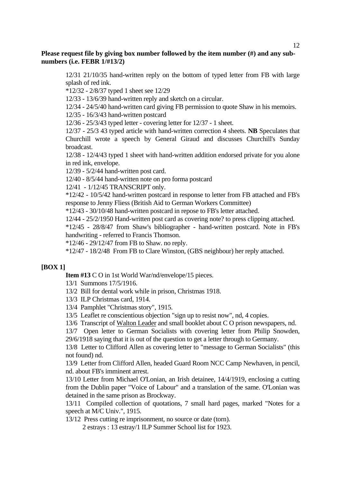12/31 21/10/35 hand-written reply on the bottom of typed letter from FB with large splash of red ink.

\*12/32 - 2/8/37 typed 1 sheet see 12/29

12/33 - 13/6/39 hand-written reply and sketch on a circular.

12/34 - 24/5/40 hand-written card giving FB permission to quote Shaw in his memoirs.

12/35 - 16/3/43 hand-written postcard

12/36 - 25/3/43 typed letter - covering letter for 12/37 - 1 sheet.

12/37 - 25/3 43 typed article with hand-written correction 4 sheets. **NB** Speculates that Churchill wrote a speech by General Giraud and discusses Churchill's Sunday broadcast.

12/38 - 12/4/43 typed 1 sheet with hand-written addition endorsed private for you alone in red ink, envelope.

12/39 - 5/2/44 hand-written post card.

12/40 - 8/5/44 hand-written note on pro forma postcard

12/41 - 1/12/45 TRANSCRIPT only.

\*12/42 - 10/5/42 hand-written postcard in response to letter from FB attached and FB's response to Jenny Fliess (British Aid to German Workers Committee)

\*12/43 - 30/10/48 hand-written postcard in repose to FB's letter attached.

12/44 - 25/2/1950 Hand-written post card as covering note? to press clipping attached.

\*12/45 - 28/8/47 from Shaw's bibliographer - hand-written postcard. Note in FB's handwriting - referred to Francis Thomson.

\*12/46 - 29/12/47 from FB to Shaw. no reply.

\*12/47 - 18/2/48 From FB to Clare Winston, (GBS neighbour) her reply attached.

# **[BOX 1]**

**Item #13** C O in 1st World War/nd/envelope/15 pieces.

13/1 Summons 17/5/1916.

13/2 Bill for dental work while in prison, Christmas 1918.

13/3 ILP Christmas card, 1914.

13/4 Pamphlet "Christmas story", 1915.

13/5 Leaflet re conscientious objection "sign up to resist now", nd, 4 copies.

13/6 Transcript of Walton Leader and small booklet about C O prison newspapers, nd.

13/7 Open letter to German Socialists with covering letter from Philip Snowden, 29/6/1918 saying that it is out of the question to get a letter through to Germany.

13/8 Letter to Clifford Allen as covering letter to "message to German Socialists" (this not found) nd.

13/9 Letter from Clifford Allen, headed Guard Room NCC Camp Newhaven, in pencil, nd. about FB's imminent arrest.

13/10 Letter from Michael O'Lonian, an Irish detainee, 14/4/1919, enclosing a cutting from the Dublin paper "Voice of Labour" and a translation of the same. O'Lonian was detained in the same prison as Brockway.

13/11 Compiled collection of quotations, 7 small hard pages, marked "Notes for a speech at M/C Univ.", 1915.

13/12 Press cutting re imprisonment, no source or date (torn).

2 estrays : 13 estray/1 ILP Summer School list for 1923.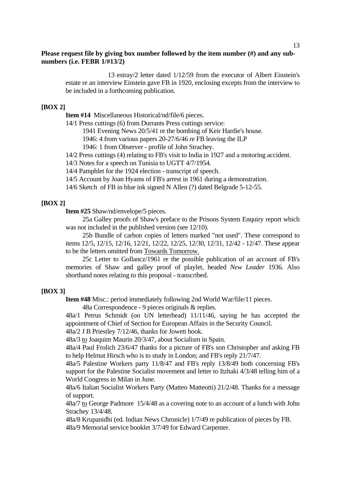13 estray/2 letter dated 1/12/59 from the executor of Albert Einstein's estate re an interview Einstein gave FB in 1920, enclosing excepts from the interview to be included in a forthcoming publication.

## **[BOX 2]**

**Item #14** Miscellaneous Historical/nd/file/6 pieces.

14/1 Press cuttings (6) from Durrants Press cuttings service:

1941 Evening News 20/5/41 re the bombing of Keir Hardie's house.

1946: 4 from various papers 20-27/6/46 re FB leaving the ILP

1946: 1 from Observer - profile of John Strachey.

14/2 Press cuttings (4) relating to FB's visit to India in 1927 and a motoring accident.

14/3 Notes for a speech on Tunisia to UGTT 4/7/1954.

14/4 Pamphlet for the 1924 election - transcript of speech.

14/5 Account by Joan Hyams of FB's arrest in 1961 during a demonstration.

14/6 Sketch of FB in blue ink signed N Allen (?) dated Belgrade 5-12-55.

## **[BOX 2]**

**Item #25** Shaw/nd/envelope/5 pieces.

 25a Galley proofs of Shaw's preface to the Prisons System Enquiry report which was not included in the published version (see 12/10).

 25b Bundle of carbon copies of letters marked "not used". These correspond to items 12/5, 12/15, 12/16, 12/21, 12/22, 12/25, 12/30, 12/31, 12/42 - 12/47. These appear to be the letters omitted from Towards Tomorrow.

 25c Letter to Gollancz/1961 re the possible publication of an account of FB's memories of Shaw and galley proof of playlet, headed *New Leader* 1936. Also shorthand notes relating to this proposal - transcribed.

## **[BOX 3]**

**Item #48** Misc.: period immediately following 2nd World War/file/11 pieces.

48a Correspondence - 9 pieces originals & replies.

48a/1 Petrus Schmidt (on UN letterhead) 11/11/46, saying he has accepted the appointment of Chief of Section for European Affairs in the Security Council.

48a/2 J B Priestley 7/12/46, thanks for Jowett book.

48a/3 to Joaquim Maurin 20/3/47, about Socialism in Spain.

48a/4 Paul Frolich 23/6/47 thanks for a picture of FB's son Christopher and asking FB to help Helmut Hirsch who is to study in London; and FB's reply 21/7/47.

48a/5 Palestine Workers party 11/8/47 and FB's reply 13/8/49 both concerning FB's support for the Palestine Socialist movement and letter to Itzhaki 4/3/48 telling him of a World Congress in Milan in June.

48a/6 Italian Socialist Workers Party (Matteo Matteotti) 21/2/48. Thanks for a message of support.

48a/7 to George Padmore 15/4/48 as a covering note to an account of a lunch with John Strachey 13/4/48.

48a/8 Krupanidhi (ed. Indian News Chronicle) 1/7/49 re publication of pieces by FB. 48a/9 Memorial service booklet 3/7/49 for Edward Carpenter.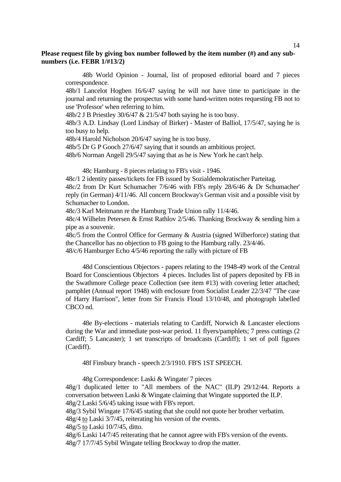48b World Opinion - Journal, list of proposed editorial board and 7 pieces correspondence.

48b/1 Lancelot Hogben 16/6/47 saying he will not have time to participate in the journal and returning the prospectus with some hand-written notes requesting FB not to use 'Professor' when referring to him.

48b/2 J B Priestley 30/6/47 & 21/5/47 both saying he is too busy.

48b/3 A.D. Lindsay (Lord Lindsay of Birker) - Master of Balliol, 17/5/47, saying he is too busy to help.

48b/4 Harold Nicholson 20/6/47 saying he is too busy.

48b/5 Dr G P Gooch 27/6/47 saying that it sounds an ambitious project.

48b/6 Norman Angell 29/5/47 saying that as he is New York he can't help.

48c Hamburg - 8 pieces relating to FB's visit - 1946.

48c/1 2 identity passes/tickets for FB issued by Sozialdemokratischer Parteitag.

48c/2 from Dr Kurt Schumacher 7/6/46 with FB's reply 28/6/46 & Dr Schumacher' reply (in German) 4/11/46. All concern Brockway's German visit and a possible visit by Schumacher to London.

48c/3 Karl Meitmann re the Hamburg Trade Union rally 11/4/46.

48c/4 Wilhelm Petersen & Ernst Rathlov 2/5/46. Thanking Brockway & sending him a pipe as a souvenir.

48c/5 from the Control Office for Germany & Austria (signed Wilberforce) stating that the Chancellor has no objection to FB going to the Hamburg rally. 23/4/46. 48/c/6 Hamburger Echo 4/5/46 reporting the rally with picture of FB

 48d Conscientious Objectors - papers relating to the 1948-49 work of the Central Board for Conscientious Objectors 4 pieces. Includes list of papers deposited by FB in the Swathmore College peace Collection (see item #13) with covering letter attached; pamphlet (Annual report 1948) with enclosure from Socialist Leader 22/3/47 "The case of Harry Harrison", letter from Sir Francis Floud 13/10/48, and photograph labelled CBCO nd.

 48e By-elections - materials relating to Cardiff, Norwich & Lancaster elections during the War and immediate post-war period. 11 flyers/pamphlets; 7 press cuttings (2 Cardiff; 5 Lancaster); 1 set transcripts of broadcasts (Cardiff); 1 set of poll figures (Cardiff).

48f Finsbury branch - speech 2/3/1910. FB'S 1ST SPEECH.

48g Correspondence: Laski & Wingate/ 7 pieces

48g/1 duplicated letter to "All members of the NAC" (ILP) 29/12/44. Reports a conversation between Laski & Wingate claiming that Wingate supported the ILP. 48g/2 Laski 5/6/45 taking issue with FB's report.

48g/3 Sybil Wingate 17/6/45 stating that she could not quote her brother verbatim.

48g/4 to Laski 3/7/45, reiterating his version of the events.

48g/5 to Laski 10/7/45, ditto.

48g/6 Laski 14/7/45 reiterating that he cannot agree with FB's version of the events. 48g/7 17/7/45 Sybil Wingate telling Brockway to drop the matter.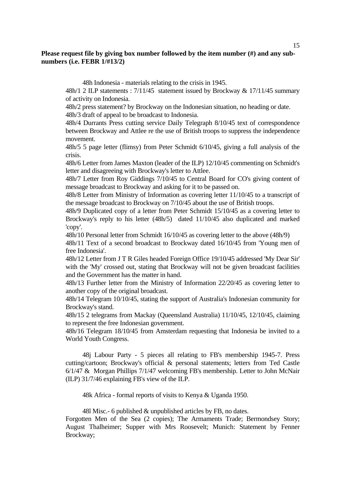48h Indonesia - materials relating to the crisis in 1945.

48h/1 2 ILP statements : 7/11/45 statement issued by Brockway & 17/11/45 summary of activity on Indonesia.

48h/2 press statement? by Brockway on the Indonesian situation, no heading or date. 48h/3 draft of appeal to be broadcast to Indonesia.

48h/4 Durrants Press cutting service Daily Telegraph 8/10/45 text of correspondence between Brockway and Attlee re the use of British troops to suppress the independence movement.

48h/5 5 page letter (flimsy) from Peter Schmidt 6/10/45, giving a full analysis of the crisis.

48h/6 Letter from James Maxton (leader of the ILP) 12/10/45 commenting on Schmidt's letter and disagreeing with Brockway's letter to Attlee.

48h/7 Letter from Roy Giddings 7/10/45 to Central Board for CO's giving content of message broadcast to Brockway and asking for it to be passed on.

48h/8 Letter from Ministry of Information as covering letter 11/10/45 to a transcript of the message broadcast to Brockway on 7/10/45 about the use of British troops.

48h/9 Duplicated copy of a letter from Peter Schmidt 15/10/45 as a covering letter to Brockway's reply to his letter (48h/5) dated 11/10/45 also duplicated and marked 'copy'.

48h/10 Personal letter from Schmidt 16/10/45 as covering letter to the above (48h/9)

48h/11 Text of a second broadcast to Brockway dated 16/10/45 from 'Young men of free Indonesia'.

48h/12 Letter from J T R Giles headed Foreign Office 19/10/45 addressed 'My Dear Sir' with the 'My' crossed out, stating that Brockway will not be given broadcast facilities and the Government has the matter in hand.

48h/13 Further letter from the Ministry of Information 22/20/45 as covering letter to another copy of the original broadcast.

48h/14 Telegram 10/10/45, stating the support of Australia's Indonesian community for Brockway's stand.

48h/15 2 telegrams from Mackay (Queensland Australia) 11/10/45, 12/10/45, claiming to represent the free Indonesian government.

48h/16 Telegram 18/10/45 from Amsterdam requesting that Indonesia be invited to a World Youth Congress.

 48j Labour Party - 5 pieces all relating to FB's membership 1945-7. Press cutting/cartoon; Brockway's official & personal statements; letters from Ted Castle 6/1/47 & Morgan Phillips 7/1/47 welcoming FB's membership. Letter to John McNair (ILP) 31/7/46 explaining FB's view of the ILP.

48k Africa - formal reports of visits to Kenya & Uganda 1950.

48l Misc.- 6 published & unpublished articles by FB, no dates.

Forgotten Men of the Sea (2 copies); The Armaments Trade; Bermondsey Story; August Thalheimer; Supper with Mrs Roosevelt; Munich: Statement by Fenner Brockway;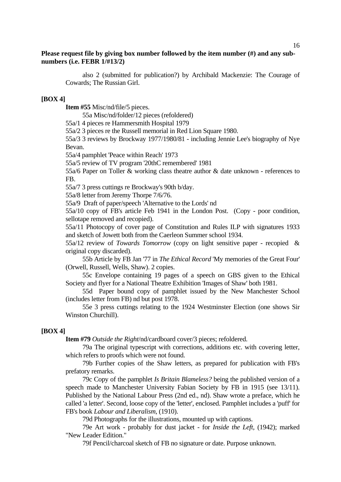also 2 (submitted for publication?) by Archibald Mackenzie: The Courage of Cowards; The Russian Girl.

#### **[BOX 4]**

**Item #55** Misc/nd/file/5 pieces.

55a Misc/nd/folder/12 pieces (refoldered)

55a/1 4 pieces re Hammersmith Hospital 1979

55a/2 3 pieces re the Russell memorial in Red Lion Square 1980.

55a/3 3 reviews by Brockway 1977/1980/81 - including Jennie Lee's biography of Nye Bevan.

55a/4 pamphlet 'Peace within Reach' 1973

55a/5 review of TV program '20thC remembered' 1981

55a/6 Paper on Toller & working class theatre author & date unknown - references to FB.

55a/7 3 press cuttings re Brockway's 90th b/day.

55a/8 letter from Jeremy Thorpe 7/6/76.

55a/9 Draft of paper/speech 'Alternative to the Lords' nd

55a/10 copy of FB's article Feb 1941 in the London Post. (Copy - poor condition, sellotape removed and recopied).

55a/11 Photocopy of cover page of Constitution and Rules ILP with signatures 1933 and sketch of Jowett both from the Caerleon Summer school 1934.

55a/12 review of *Towards Tomorrow* (copy on light sensitive paper - recopied & original copy discarded).

 55b Article by FB Jan '77 in *The Ethical Record* 'My memories of the Great Four' (Orwell, Russell, Wells, Shaw). 2 copies.

 55c Envelope containing 19 pages of a speech on GBS given to the Ethical Society and flyer for a National Theatre Exhibition 'Images of Shaw' both 1981.

 55d Paper bound copy of pamphlet issued by the New Manchester School (includes letter from FB) nd but post 1978.

 55e 3 press cuttings relating to the 1924 Westminster Election (one shows Sir Winston Churchill).

## **[BOX 4]**

**Item #79** *Outside the Right*/nd/cardboard cover/3 pieces; refoldered.

 79a The original typescript with corrections, additions etc. with covering letter, which refers to proofs which were not found.

 79b Further copies of the Shaw letters, as prepared for publication with FB's prefatory remarks.

 79c Copy of the pamphlet *Is Britain Blameless?* being the published version of a speech made to Manchester University Fabian Society by FB in 1915 (see 13/11). Published by the National Labour Press (2nd ed., nd). Shaw wrote a preface, which he called 'a letter'. Second, loose copy of the 'letter', enclosed. Pamphlet includes a 'puff' for FB's book *Labour and Liberalism*, (1910).

79d Photographs for the illustrations, mounted up with captions.

 79e Art work - probably for dust jacket - for *Inside the Left,* (1942); marked "New Leader Edition."

79f Pencil/charcoal sketch of FB no signature or date. Purpose unknown.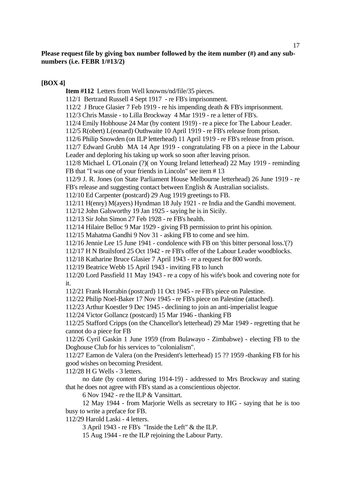# **[BOX 4]**

**Item #112** Letters from Well knowns/nd/file/35 pieces.

112/1 Bertrand Russell 4 Sept 1917 - re FB's imprisonment.

112/2 J Bruce Glasier 7 Feb 1919 - re his impending death & FB's imprisonment.

- 112/3 Chris Massie to Lilla Brockway 4 Mar 1919 re a letter of FB's.
- 112/4 Emily Hobhouse 24 Mar (by content 1919) re a piece for The Labour Leader.
- 112/5 R(obert) L(eonard) Outhwaite 10 April 1919 re FB's release from prison.
- 112/6 Philip Snowden (on ILP letterhead) 11 April 1919 re FB's release from prison.

112/7 Edward Grubb MA 14 Apr 1919 - congratulating FB on a piece in the Labour Leader and deploring his taking up work so soon after leaving prison.

112/8 Michael L O'Lonain (?)( on Young Ireland letterhead) 22 May 1919 - reminding FB that "I was one of your friends in Lincoln" see item # 13

112/9 J. R. Jones (on State Parliament House Melbourne letterhead) 26 June 1919 - re FB's release and suggesting contact between English & Australian socialists.

112/10 Ed Carpenter (postcard) 29 Aug 1919 greetings to FB.

112/11 H(enry) M(ayers) Hyndman 18 July 1921 - re India and the Gandhi movement.

112/12 John Galsworthy 19 Jan 1925 - saying he is in Sicily.

112/13 Sir John Simon 27 Feb 1928 - re FB's health.

112/14 Hilaire Belloc 9 Mar 1929 - giving FB permission to print his opinion.

112/15 Mahatma Gandhi 9 Nov 31 - asking FB to come and see him.

112/16 Jennie Lee 15 June 1941 - condolence with FB on 'this bitter personal loss.'(?)

112/17 H N Brailsford 25 Oct 1942 - re FB's offer of the Labour Leader woodblocks.

112/18 Katharine Bruce Glasier 7 April 1943 - re a request for 800 words.

112/19 Beatrice Webb 15 April 1943 - inviting FB to lunch

112/20 Lord Passfield 11 May 1943 - re a copy of his wife's book and covering note for it.

112/21 Frank Horrabin (postcard) 11 Oct 1945 - re FB's piece on Palestine.

112/22 Philip Noel-Baker 17 Nov 1945 - re FB's piece on Palestine (attached).

112/23 Arthur Koestler 9 Dec 1945 - declining to join an anti-imperialist league

112/24 Victor Gollancz (postcard) 15 Mar 1946 - thanking FB

112/25 Stafford Cripps (on the Chancellor's letterhead) 29 Mar 1949 - regretting that he cannot do a piece for FB

112/26 Cyril Gaskin 1 June 1959 (from Bulawayo - Zimbabwe) - electing FB to the Doghouse Club for his services to "colonialism".

112/27 Eamon de Valera (on the President's letterhead) 15 ?? 1959 -thanking FB for his good wishes on becoming President.

112/28 H G Wells - 3 letters.

 no date (by content during 1914-19) - addressed to Mrs Brockway and stating that he does not agree with FB's stand as a conscientious objector.

6 Nov 1942 - re the ILP & Vansittart.

 12 May 1944 - from Marjorie Wells as secretary to HG - saying that he is too busy to write a preface for FB.

112/29 Harold Laski - 4 letters.

3 April 1943 - re FB's "Inside the Left" & the ILP.

15 Aug 1944 - re the ILP rejoining the Labour Party.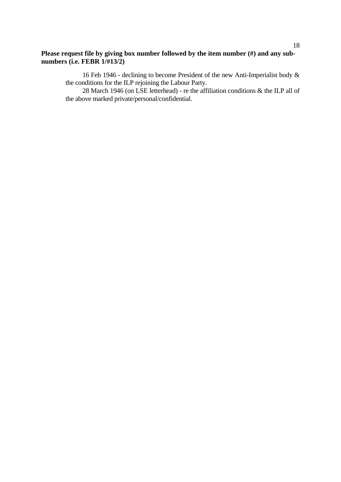16 Feb 1946 - declining to become President of the new Anti-Imperialist body & the conditions for the ILP rejoining the Labour Party.

28 March 1946 (on LSE letterhead) - re the affiliation conditions  $\&$  the ILP all of the above marked private/personal/confidential.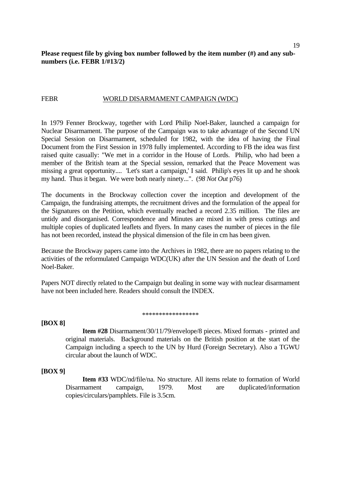#### FEBR WORLD DISARMAMENT CAMPAIGN (WDC)

In 1979 Fenner Brockway, together with Lord Philip Noel-Baker, launched a campaign for Nuclear Disarmament. The purpose of the Campaign was to take advantage of the Second UN Special Session on Disarmament, scheduled for 1982, with the idea of having the Final Document from the First Session in 1978 fully implemented. According to FB the idea was first raised quite casually: "We met in a corridor in the House of Lords. Philip, who had been a member of the British team at the Special session, remarked that the Peace Movement was missing a great opportunity.... 'Let's start a campaign,' I said. Philip's eyes lit up and he shook my hand. Thus it began. We were both nearly ninety...". (*98 Not Out* p76)

The documents in the Brockway collection cover the inception and development of the Campaign, the fundraising attempts, the recruitment drives and the formulation of the appeal for the Signatures on the Petition, which eventually reached a record 2.35 million. The files are untidy and disorganised. Correspondence and Minutes are mixed in with press cuttings and multiple copies of duplicated leaflets and flyers. In many cases the number of pieces in the file has not been recorded, instead the physical dimension of the file in cm has been given.

Because the Brockway papers came into the Archives in 1982, there are no papers relating to the activities of the reformulated Campaign WDC(UK) after the UN Session and the death of Lord Noel-Baker.

Papers NOT directly related to the Campaign but dealing in some way with nuclear disarmament have not been included here. Readers should consult the INDEX.

#### \*\*\*\*\*\*\*\*\*\*\*\*\*\*\*\*\*

#### **[BOX 8]**

 **Item #28** Disarmament/30/11/79/envelope/8 pieces. Mixed formats - printed and original materials. Background materials on the British position at the start of the Campaign including a speech to the UN by Hurd (Foreign Secretary). Also a TGWU circular about the launch of WDC.

#### **[BOX 9]**

 **Item #33** WDC/nd/file/na. No structure. All items relate to formation of World Disarmament campaign, 1979. Most are duplicated/information copies/circulars/pamphlets. File is 3.5cm.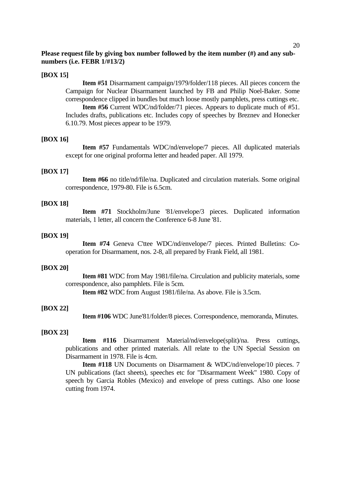## **[BOX 15]**

 **Item #51** Disarmament campaign/1979/folder/118 pieces. All pieces concern the Campaign for Nuclear Disarmament launched by FB and Philip Noel-Baker. Some correspondence clipped in bundles but much loose mostly pamphlets, press cuttings etc.

 **Item #56** Current WDC/nd/folder/71 pieces. Appears to duplicate much of #51. Includes drafts, publications etc. Includes copy of speeches by Breznev and Honecker 6.10.79. Most pieces appear to be 1979.

#### **[BOX 16]**

 **Item #57** Fundamentals WDC/nd/envelope/7 pieces. All duplicated materials except for one original proforma letter and headed paper. All 1979.

#### **[BOX 17]**

 **Item #66** no title/nd/file/na. Duplicated and circulation materials. Some original correspondence, 1979-80. File is 6.5cm.

#### **[BOX 18]**

 **Item #71** Stockholm/June '81/envelope/3 pieces. Duplicated information materials, 1 letter, all concern the Conference 6-8 June '81.

#### **[BOX 19]**

 **Item #74** Geneva C'ttee WDC/nd/envelope/7 pieces. Printed Bulletins: Cooperation for Disarmament, nos. 2-8, all prepared by Frank Field, all 1981.

#### **[BOX 20]**

 **Item #81** WDC from May 1981/file/na. Circulation and publicity materials, some correspondence, also pamphlets. File is 5cm.

 **Item #82** WDC from August 1981/file/na. As above. File is 3.5cm.

#### **[BOX 22]**

 **Item #106** WDC June'81/folder/8 pieces. Correspondence, memoranda, Minutes.

## **[BOX 23]**

 **Item #116** Disarmament Material/nd/envelope(split)/na. Press cuttings, publications and other printed materials. All relate to the UN Special Session on Disarmament in 1978. File is 4cm.

 **Item #118** UN Documents on Disarmament & WDC/nd/envelope/10 pieces. 7 UN publications (fact sheets), speeches etc for "Disarmament Week" 1980. Copy of speech by Garcia Robles (Mexico) and envelope of press cuttings. Also one loose cutting from 1974.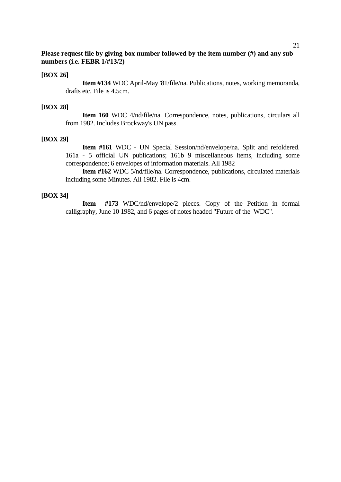#### **[BOX 26]**

 **Item #134** WDC April-May '81/file/na. Publications, notes, working memoranda, drafts etc. File is 4.5cm.

#### **[BOX 28]**

 **Item 160** WDC 4/nd/file/na. Correspondence, notes, publications, circulars all from 1982. Includes Brockway's UN pass.

#### **[BOX 29]**

 **Item #161** WDC - UN Special Session/nd/envelope/na. Split and refoldered. 161a - 5 official UN publications; 161b 9 miscellaneous items, including some correspondence; 6 envelopes of information materials. All 1982

 **Item #162** WDC 5/nd/file/na. Correspondence, publications, circulated materials including some Minutes. All 1982. File is 4cm.

#### **[BOX 34]**

 **Item #173** WDC/nd/envelope/2 pieces. Copy of the Petition in formal calligraphy, June 10 1982, and 6 pages of notes headed "Future of the WDC".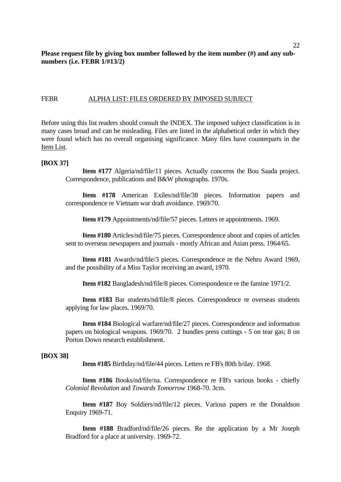## FEBR ALPHA LIST: FILES ORDERED BY IMPOSED SUBJECT

Before using this list readers should consult the INDEX. The imposed subject classification is in many cases broad and can be misleading. Files are listed in the alphabetical order in which they were found which has no overall organising significance. Many files have counterparts in the Item List.

#### **[BOX 37]**

 **Item #177** Algeria/nd/file/11 pieces. Actually concerns the Bou Saada project. Correspondence, publications and B&W photographs. 1970s.

 **Item #178** American Exiles/nd/file/38 pieces. Information papers and correspondence re Vietnam war draft avoidance. 1969/70.

 **Item #179** Appointments/nd/file/57 pieces. Letters re appointments. 1969.

 **Item #180** Articles/nd/file/75 pieces. Correspondence about and copies of articles sent to overseas newspapers and journals - mostly African and Asian press. 1964/65.

 **Item #181** Awards/nd/file/3 pieces. Correspondence re the Nehru Award 1969, and the possibility of a Miss Taylor receiving an award, 1970.

 **Item #182** Bangladesh/nd/file/8 pieces. Correspondence re the famine 1971/2.

 **Item #183** Bar students/nd/file/8 pieces. Correspondence re overseas students applying for law places. 1969/70.

 **Item #184** Biological warfare/nd/file/27 pieces. Correspondence and information papers on biological weapons. 1969/70. 2 bundles press cuttings - 5 on tear gas; 8 on Porton Down research establishment.

#### **[BOX 38]**

 **Item #185** Birthday/nd/file/44 pieces. Letters re FB's 80th b/day. 1968.

 **Item #186** Books/nd/file/na. Correspondence re FB's various books - chiefly *Colonial Revolution* and *Towards Tomorrow* 1968-70. 3cm.

 **Item #187** Boy Soldiers/nd/file/12 pieces. Various papers re the Donaldson Enquiry 1969-71.

 **Item #188** Bradford/nd/file/26 pieces. Re the application by a Mr Joseph Bradford for a place at university. 1969-72.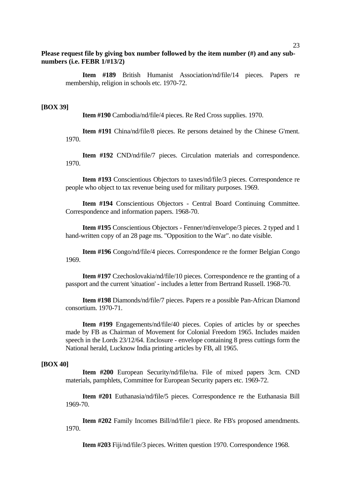**Item #189** British Humanist Association/nd/file/14 pieces. Papers re membership, religion in schools etc. 1970-72.

#### **[BOX 39]**

 **Item #190** Cambodia/nd/file/4 pieces. Re Red Cross supplies. 1970.

 **Item #191** China/nd/file/8 pieces. Re persons detained by the Chinese G'ment. 1970.

 **Item #192** CND/nd/file/7 pieces. Circulation materials and correspondence. 1970.

 **Item #193** Conscientious Objectors to taxes/nd/file/3 pieces. Correspondence re people who object to tax revenue being used for military purposes. 1969.

 **Item #194** Conscientious Objectors - Central Board Continuing Committee. Correspondence and information papers. 1968-70.

 **Item #195** Conscientious Objectors - Fenner/nd/envelope/3 pieces. 2 typed and 1 hand-written copy of an 28 page ms. "Opposition to the War". no date visible.

 **Item #196** Congo/nd/file/4 pieces. Correspondence re the former Belgian Congo 1969.

 **Item #197** Czechoslovakia/nd/file/10 pieces. Correspondence re the granting of a passport and the current 'situation' - includes a letter from Bertrand Russell. 1968-70.

 **Item #198** Diamonds/nd/file/7 pieces. Papers re a possible Pan-African Diamond consortium. 1970-71.

 **Item #199** Engagements/nd/file/40 pieces. Copies of articles by or speeches made by FB as Chairman of Movement for Colonial Freedom 1965. Includes maiden speech in the Lords 23/12/64. Enclosure - envelope containing 8 press cuttings form the National herald, Lucknow India printing articles by FB, all 1965.

#### **[BOX 40]**

 **Item #200** European Security/nd/file/na. File of mixed papers 3cm. CND materials, pamphlets, Committee for European Security papers etc. 1969-72.

 **Item #201** Euthanasia/nd/file/5 pieces. Correspondence re the Euthanasia Bill 1969-70.

 **Item #202** Family Incomes Bill/nd/file/1 piece. Re FB's proposed amendments. 1970.

 **Item #203** Fiji/nd/file/3 pieces. Written question 1970. Correspondence 1968.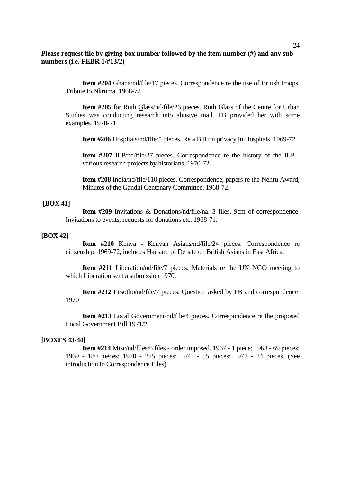**Item #204** Ghana/nd/file/17 pieces. Correspondence re the use of British troops. Tribute to Nkruma. 1968-72

 **Item #205** for Ruth Glass/nd/file/26 pieces. Ruth Glass of the Centre for Urban Studies was conducting research into abusive mail. FB provided her with some examples. 1970-71.

 **Item #206** Hospitals/nd/file/5 pieces. Re a Bill on privacy in Hospitals. 1969-72.

**Item #207** ILP/nd/file/27 pieces. Correspondence re the history of the ILP various research projects by historians. 1970-72.

**Item #208** India/nd/file/110 pieces. Correspondence, papers re the Nehru Award, Minutes of the Gandhi Centenary Committee. 1968-72.

#### **[BOX 41]**

 **Item #209** Invitations & Donations/nd/file/na. 3 files, 9cm of correspondence. Invitations to events, requests for donations etc. 1968-71.

## **[BOX 42]**

 **Item #210** Kenya - Kenyan Asians/nd/file/24 pieces. Correspondence re citizenship. 1969-72, includes Hansard of Debate on British Asians in East Africa.

 **Item #211** Liberation/nd/file/7 pieces. Materials re the UN NGO meeting to which Liberation sent a submission 1970.

 **Item #212** Lesotho/nd/file/7 pieces. Question asked by FB and correspondence. 1970

 **Item #213** Local Government/nd/file/4 pieces. Correspondence re the proposed Local Government Bill 1971/2.

#### **[BOXES 43-44]**

 **Item #214** Misc/nd/files/6 files - order imposed. 1967 - 1 piece; 1968 - 69 pieces; 1969 - 180 pieces; 1970 - 225 pieces; 1971 - 55 pieces; 1972 - 24 pieces. (See introduction to Correspondence Files).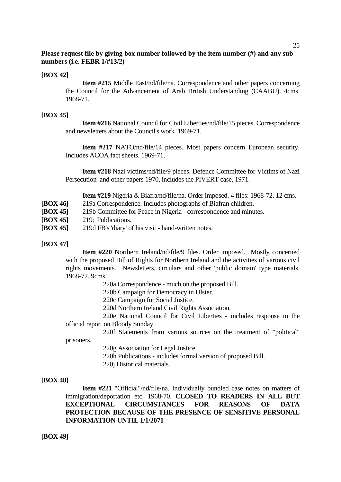## **[BOX 42]**

 **Item #215** Middle East/nd/file/na. Correspondence and other papers concerning the Council for the Advancement of Arab British Understanding (CAABU). 4cms. 1968-71.

## **[BOX 45]**

 **Item #216** National Council for Civil Liberties/nd/file/15 pieces. Correspondence and newsletters about the Council's work. 1969-71.

 **Item #217** NATO/nd/file/14 pieces. Most papers concern European security. Includes ACOA fact sheets. 1969-71.

 **Item #218** Nazi victims/nd/file/9 pieces. Defence Committee for Victims of Nazi Persecution and other papers 1970, includes the PIVERT case, 1971.

 **Item #219** Nigeria & Biafra/nd/file/na. Order imposed. 4 files: 1968-72. 12 cms.

- **[BOX 46]** 219a Correspondence. Includes photographs of Biafran children.
- **[BOX 45]** 219b Committee for Peace in Nigeria correspondence and minutes.
- **[BOX 45]** 219c Publications.
- **[BOX 45]** 219d FB's 'diary' of his visit hand-written notes.

## **[BOX 47]**

 **Item #220** Northern Ireland/nd/file/9 files. Order imposed. Mostly concerned with the proposed Bill of Rights for Northern Ireland and the activities of various civil rights movements. Newsletters, circulars and other 'public domain' type materials. 1968-72. 9cms.

220a Correspondence - much on the proposed Bill.

220b Campaign for Democracy in Ulster.

220c Campaign for Social Justice.

220d Northern Ireland Civil Rights Association.

 220e National Council for Civil Liberties - includes response to the official report on Bloody Sunday.

 220f Statements from various sources on the treatment of "political" prisoners.

220g Association for Legal Justice.

220h Publications - includes formal version of proposed Bill.

220j Historical materials.

#### **[BOX 48]**

 **Item #221** "Official"/nd/file/na. Individually bundled case notes on matters of immigration/deportation etc. 1968-70. **CLOSED TO READERS IN ALL BUT EXCEPTIONAL CIRCUMSTANCES FOR REASONS OF DATA PROTECTION BECAUSE OF THE PRESENCE OF SENSITIVE PERSONAL INFORMATION UNTIL 1/1/2071**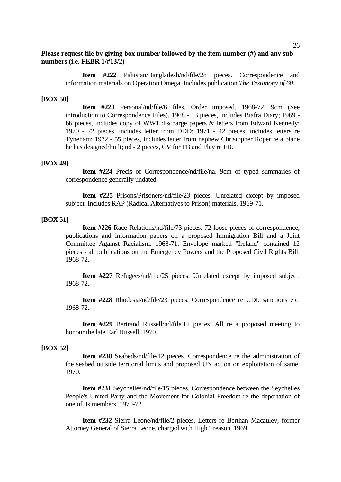**Item #222** Pakistan/Bangladesh/nd/file/28 pieces. Correspondence and information materials on Operation Omega. Includes publication *The Testimony of 60.* 

#### **[BOX 50]**

 **Item #223** Personal/nd/file/6 files. Order imposed. 1968-72. 9cm (See introduction to Correspondence Files). 1968 - 13 pieces, includes Biafra Diary; 1969 - 66 pieces, includes copy of WW1 discharge papers & letters from Edward Kennedy; 1970 - 72 pieces, includes letter from DDD; 1971 - 42 pieces, includes letters re Tyneham; 1972 - 55 pieces, includes letter from nephew Christopher Roper re a plane he has designed/built; nd - 2 pieces, CV for FB and Play re FB.

#### **[BOX 49]**

 **Item #224** Precis of Correspondence/nd/file/na. 9cm of typed summaries of correspondence generally undated.

 **Item #225** Prisons/Prisoners/nd/file/23 pieces. Unrelated except by imposed subject. Includes RAP (Radical Alternatives to Prison) materials. 1969-71.

#### **[BOX 51]**

 **Item #226** Race Relations/nd/file/73 pieces. 72 loose pieces of correspondence, publications and information papers on a proposed Immigration Bill and a Joint Committee Against Racialism. 1968-71. Envelope marked "Ireland" contained 12 pieces - all publications on the Emergency Powers and the Proposed Civil Rights Bill. 1968-72.

 **Item #227** Refugees/nd/file/25 pieces. Unrelated except by imposed subject. 1968-72.

 **Item #228** Rhodesia/nd/file/23 pieces. Correspondence re UDI, sanctions etc. 1968-72.

 **Item #229** Bertrand Russell/nd/file.12 pieces. All re a proposed meeting to honour the late Earl Russell. 1970.

#### **[BOX 52]**

 **Item #230** Seabeds/nd/file/12 pieces. Correspondence re the administration of the seabed outside territorial limits and proposed UN action on exploitation of same. 1970.

 **Item #231** Seychelles/nd/file/15 pieces. Correspondence between the Seychelles People's United Party and the Movement for Colonial Freedom re the deportation of one of its members. 1970-72.

 **Item #232** Sierra Leone/nd/file/2 pieces. Letters re Berthan Macauley, former Attorney General of Sierra Leone, charged with High Treason. 1969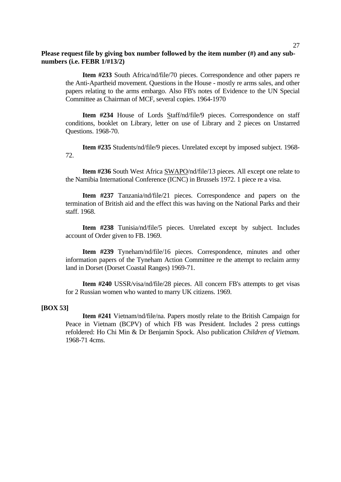**Item #233** South Africa/nd/file/70 pieces. Correspondence and other papers re the Anti-Apartheid movement. Questions in the House - mostly re arms sales, and other papers relating to the arms embargo. Also FB's notes of Evidence to the UN Special Committee as Chairman of MCF, several copies. 1964-1970

 **Item #234** House of Lords Staff/nd/file/9 pieces. Correspondence on staff conditions, booklet on Library, letter on use of Library and 2 pieces on Unstarred Questions. 1968-70.

 **Item #235** Students/nd/file/9 pieces. Unrelated except by imposed subject. 1968- 72.

 **Item #236** South West Africa SWAPO/nd/file/13 pieces. All except one relate to the Namibia International Conference (ICNC) in Brussels 1972. 1 piece re a visa.

 **Item #237** Tanzania/nd/file/21 pieces. Correspondence and papers on the termination of British aid and the effect this was having on the National Parks and their staff. 1968.

 **Item #238** Tunisia/nd/file/5 pieces. Unrelated except by subject. Includes account of Order given to FB. 1969.

 **Item #239** Tyneham/nd/file/16 pieces. Correspondence, minutes and other information papers of the Tyneham Action Committee re the attempt to reclaim army land in Dorset (Dorset Coastal Ranges) 1969-71.

 **Item #240** USSR/visa/nd/file/28 pieces. All concern FB's attempts to get visas for 2 Russian women who wanted to marry UK citizens. 1969.

#### **[BOX 53]**

 **Item #241** Vietnam/nd/file/na. Papers mostly relate to the British Campaign for Peace in Vietnam (BCPV) of which FB was President. Includes 2 press cuttings refoldered: Ho Chi Min & Dr Benjamin Spock. Also publication *Children of Vietnam.* 1968-71 4cms.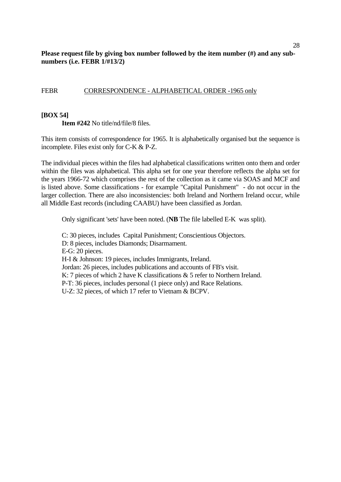## FEBR CORRESPONDENCE - ALPHABETICAL ORDER -1965 only

## **[BOX 54]**

 **Item #242** No title/nd/file/8 files.

This item consists of correspondence for 1965. It is alphabetically organised but the sequence is incomplete. Files exist only for C-K & P-Z.

The individual pieces within the files had alphabetical classifications written onto them and order within the files was alphabetical. This alpha set for one year therefore reflects the alpha set for the years 1966-72 which comprises the rest of the collection as it came via SOAS and MCF and is listed above. Some classifications - for example "Capital Punishment" - do not occur in the larger collection. There are also inconsistencies: both Ireland and Northern Ireland occur, while all Middle East records (including CAABU) have been classified as Jordan.

Only significant 'sets' have been noted. (**NB** The file labelled E-K was split).

 C: 30 pieces, includes Capital Punishment; Conscientious Objectors. D: 8 pieces, includes Diamonds; Disarmament. E-G: 20 pieces. H-I & Johnson: 19 pieces, includes Immigrants, Ireland. Jordan: 26 pieces, includes publications and accounts of FB's visit. K: 7 pieces of which 2 have K classifications & 5 refer to Northern Ireland. P-T: 36 pieces, includes personal (1 piece only) and Race Relations. U-Z: 32 pieces, of which 17 refer to Vietnam & BCPV.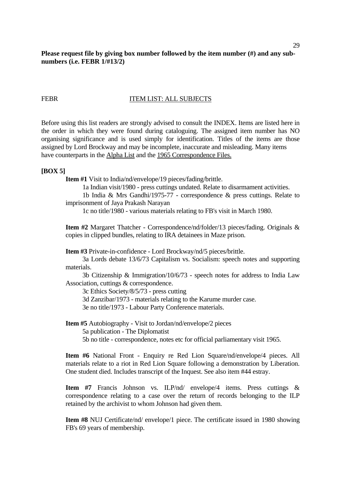# FEBR ITEM LIST: ALL SUBJECTS

Before using this list readers are strongly advised to consult the INDEX. Items are listed here in the order in which they were found during cataloguing. The assigned item number has NO organising significance and is used simply for identification. Titles of the items are those assigned by Lord Brockway and may be incomplete, inaccurate and misleading. Many items have counterparts in the Alpha List and the 1965 Correspondence Files.

#### **[BOX 5]**

**Item #1** Visit to India/nd/envelope/19 pieces/fading/brittle.

1a Indian visit/1980 - press cuttings undated. Relate to disarmament activities.

 1b India & Mrs Gandhi/1975-77 - correspondence & press cuttings. Relate to imprisonment of Jaya Prakash Narayan

1c no title/1980 - various materials relating to FB's visit in March 1980.

**Item #2** Margaret Thatcher - Correspondence/nd/folder/13 pieces/fading. Originals & copies in clipped bundles, relating to IRA detainees in Maze prison.

**Item #3** Private-in-confidence - Lord Brockway/nd/5 pieces/brittle.

 3a Lords debate 13/6/73 Capitalism vs. Socialism: speech notes and supporting materials.

 3b Citizenship & Immigration/10/6/73 - speech notes for address to India Law Association, cuttings & correspondence.

3c Ethics Society/8/5/73 - press cutting

3d Zanzibar/1973 - materials relating to the Karume murder case.

3e no title/1973 - Labour Party Conference materials.

**Item #5** Autobiography - Visit to Jordan/nd/envelope/2 pieces 5a publication - The Diplomatist 5b no title - correspondence, notes etc for official parliamentary visit 1965.

**Item #6** National Front - Enquiry re Red Lion Square/nd/envelope/4 pieces. All materials relate to a riot in Red Lion Square following a demonstration by Liberation. One student died. Includes transcript of the Inquest. See also item #44 estray.

**Item #7** Francis Johnson vs. ILP/nd/ envelope/4 items. Press cuttings & correspondence relating to a case over the return of records belonging to the ILP retained by the archivist to whom Johnson had given them.

**Item #8** NUJ Certificate/nd/ envelope/1 piece. The certificate issued in 1980 showing FB's 69 years of membership.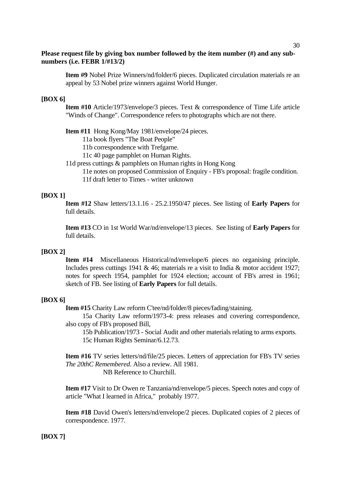**Item #9** Nobel Prize Winners/nd/folder/6 pieces. Duplicated circulation materials re an appeal by 53 Nobel prize winners against World Hunger.

## **[BOX 6]**

**Item #10** Article/1973/envelope/3 pieces. Text & correspondence of Time Life article "Winds of Change". Correspondence refers to photographs which are not there.

**Item #11** Hong Kong/May 1981/envelope/24 pieces.

11a book flyers "The Boat People"

11b correspondence with Trefgarne.

11c 40 page pamphlet on Human Rights.

11d press cuttings & pamphlets on Human rights in Hong Kong

11e notes on proposed Commission of Enquiry - FB's proposal: fragile condition.

11f draft letter to Times - writer unknown

#### **[BOX 1]**

**Item #12** Shaw letters/13.1.16 - 25.2.1950/47 pieces. See listing of **Early Papers** for full details.

**Item #13** CO in 1st World War/nd/envelope/13 pieces. See listing of **Early Papers** for full details.

#### **[BOX 2]**

**Item #14** Miscellaneous Historical/nd/envelope/6 pieces no organising principle. Includes press cuttings 1941 & 46; materials re a visit to India & motor accident 1927; notes for speech 1954, pamphlet for 1924 election; account of FB's arrest in 1961; sketch of FB. See listing of **Early Papers** for full details.

## **[BOX 6]**

**Item #15** Charity Law reform C'tee/nd/folder/8 pieces/fading/staining.

 15a Charity Law reform/1973-4: press releases and covering correspondence, also copy of FB's proposed Bill,

 15b Publication/1973 - Social Audit and other materials relating to arms exports. 15c Human Rights Seminar/6.12.73.

**Item #16** TV series letters/nd/file/25 pieces. Letters of appreciation for FB's TV series *The 20thC Remembered*. Also a review. All 1981.

NB Reference to Churchill.

**Item #17** Visit to Dr Owen re Tanzania/nd/envelope/5 pieces. Speech notes and copy of article "What I learned in Africa," probably 1977.

**Item #18** David Owen's letters/nd/envelope/2 pieces. Duplicated copies of 2 pieces of correspondence. 1977.

#### **[BOX 7]**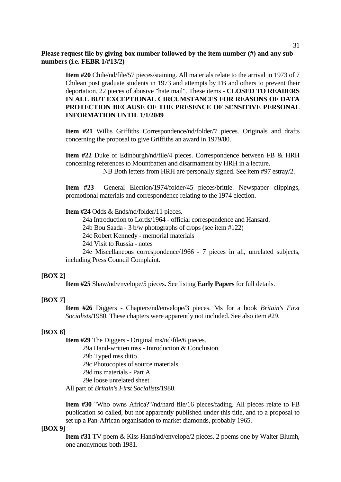**Item #20** Chile/nd/file/57 pieces/staining. All materials relate to the arrival in 1973 of 7 Chilean post graduate students in 1973 and attempts by FB and others to prevent their deportation. 22 pieces of abusive "hate mail". These items - **CLOSED TO READERS IN ALL BUT EXCEPTIONAL CIRCUMSTANCES FOR REASONS OF DATA PROTECTION BECAUSE OF THE PRESENCE OF SENSITIVE PERSONAL INFORMATION UNTIL 1/1/2049** 

**Item #21** Willis Griffiths Correspondence/nd/folder/7 pieces. Originals and drafts concerning the proposal to give Griffiths an award in 1979/80.

**Item #22** Duke of Edinburgh/nd/file/4 pieces. Correspondence between FB & HRH concerning references to Mountbatten and disarmament by HRH in a lecture.

NB Both letters from HRH are personally signed. See item #97 estray/2.

**Item #23** General Election/1974/folder/45 pieces/brittle. Newspaper clippings, promotional materials and correspondence relating to the 1974 election.

**Item #24** Odds & Ends/nd/folder/11 pieces.

24a Introduction to Lords/1964 - official correspondence and Hansard.

24b Bou Saada - 3 b/w photographs of crops (see item #122)

24c Robert Kennedy - memorial materials

24d Visit to Russia - notes

 24e Miscellaneous correspondence/1966 - 7 pieces in all, unrelated subjects, including Press Council Complaint.

#### **[BOX 2]**

**Item #25** Shaw/nd/envelope/5 pieces. See listing **Early Papers** for full details.

## **[BOX 7]**

**Item #26** Diggers - Chapters/nd/envelope/3 pieces. Ms for a book *Britain's First Socialists*/1980. These chapters were apparently not included. See also item #29.

#### **[BOX 8]**

**Item #29** The Diggers - Original ms/nd/file/6 pieces. 29a Hand-written mss - Introduction & Conclusion. 29b Typed mss ditto

29c Photocopies of source materials.

29d ms materials - Part A

29e loose unrelated sheet.

All part of *Britain's First Socialists*/1980.

**Item #30** "Who owns Africa?"/nd/hard file/16 pieces/fading. All pieces relate to FB publication so called, but not apparently published under this title, and to a proposal to set up a Pan-African organisation to market diamonds, probably 1965.

#### **[BOX 9]**

**Item #31** TV poem & Kiss Hand/nd/envelope/2 pieces. 2 poems one by Walter Blumh, one anonymous both 1981.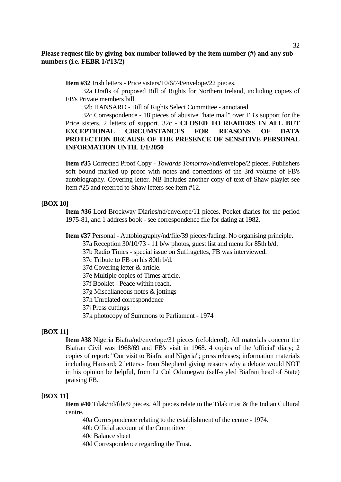**Item #32** Irish letters - Price sisters/10/6/74/envelope/22 pieces.

 32a Drafts of proposed Bill of Rights for Northern Ireland, including copies of FB's Private members bill.

32b HANSARD - Bill of Rights Select Committee - annotated.

 32c Correspondence - 18 pieces of abusive "hate mail" over FB's support for the Price sisters. 2 letters of support. 32c - **CLOSED TO READERS IN ALL BUT EXCEPTIONAL CIRCUMSTANCES FOR REASONS OF DATA PROTECTION BECAUSE OF THE PRESENCE OF SENSITIVE PERSONAL INFORMATION UNTIL 1/1/2050**

**Item #35** Corrected Proof Copy - *Towards Tomorrow*/nd/envelope/2 pieces. Publishers soft bound marked up proof with notes and corrections of the 3rd volume of FB's autobiography. Covering letter. NB Includes another copy of text of Shaw playlet see item #25 and referred to Shaw letters see item #12.

## **[BOX 10]**

**Item #36** Lord Brockway Diaries/nd/envelope/11 pieces. Pocket diaries for the period 1975-81, and 1 address book - see correspondence file for dating at 1982.

**Item #37** Personal - Autobiography/nd/file/39 pieces/fading. No organising principle.

37a Reception 30/10/73 - 11 b/w photos, guest list and menu for 85th b/d.

37b Radio Times - special issue on Suffragettes, FB was interviewed.

37c Tribute to FB on his 80th b/d.

37d Covering letter & article.

37e Multiple copies of Times article.

37f Booklet - Peace within reach.

37g Miscellaneous notes & jottings

37h Unrelated correspondence

37j Press cuttings

37k photocopy of Summons to Parliament - 1974

## **[BOX 11]**

**Item #38** Nigeria Biafra/nd/envelope/31 pieces (refoldered). All materials concern the Biafran Civil was 1968/69 and FB's visit in 1968. 4 copies of the 'official' diary; 2 copies of report: "Our visit to Biafra and Nigeria"; press releases; information materials including Hansard; 2 letters:- from Shepherd giving reasons why a debate would NOT in his opinion be helpful, from Lt Col Odumegwu (self-styled Biafran head of State) praising FB.

#### **[BOX 11]**

**Item #40** Tilak/nd/file/9 pieces. All pieces relate to the Tilak trust & the Indian Cultural centre.

40a Correspondence relating to the establishment of the centre - 1974.

40b Official account of the Committee

40c Balance sheet

40d Correspondence regarding the Trust.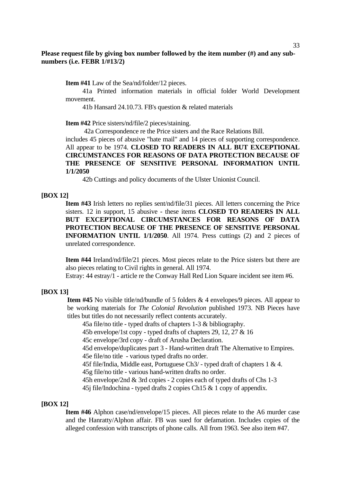**Item #41** Law of the Sea/nd/folder/12 pieces.

 41a Printed information materials in official folder World Development movement.

41b Hansard 24.10.73. FB's question & related materials

**Item #42** Price sisters/nd/file/2 pieces/staining.

42a Correspondence re the Price sisters and the Race Relations Bill.

includes 45 pieces of abusive "hate mail" and 14 pieces of supporting correspondence. All appear to be 1974. **CLOSED TO READERS IN ALL BUT EXCEPTIONAL CIRCUMSTANCES FOR REASONS OF DATA PROTECTION BECAUSE OF THE PRESENCE OF SENSITIVE PERSONAL INFORMATION UNTIL 1/1/2050**

42b Cuttings and policy documents of the Ulster Unionist Council.

#### **[BOX 12]**

**Item #43** Irish letters no replies sent/nd/file/31 pieces. All letters concerning the Price sisters. 12 in support, 15 abusive - these items **CLOSED TO READERS IN ALL BUT EXCEPTIONAL CIRCUMSTANCES FOR REASONS OF DATA PROTECTION BECAUSE OF THE PRESENCE OF SENSITIVE PERSONAL INFORMATION UNTIL 1/1/2050**. All 1974. Press cuttings (2) and 2 pieces of unrelated correspondence.

**Item #44** Ireland/nd/file/21 pieces. Most pieces relate to the Price sisters but there are also pieces relating to Civil rights in general. All 1974.

Estray: 44 estray/1 - article re the Conway Hall Red Lion Square incident see item #6.

#### **[BOX 13]**

**Item #45** No visible title/nd/bundle of 5 folders & 4 envelopes/9 pieces. All appear to be working materials for *The Colonial Revolution* published 1973. NB Pieces have titles but titles do not necessarily reflect contents accurately.

45a file/no title - typed drafts of chapters 1-3 & bibliography.

45b envelope/1st copy - typed drafts of chapters 29, 12, 27 & 16

45c envelope/3rd copy - draft of Arusha Declaration.

 45d envelope/duplicates part 3 - Hand-written draft The Alternative to Empires. 45e file/no title - various typed drafts no order.

45f file/India, Middle east, Portuguese Ch3/ - typed draft of chapters 1 & 4.

45g file/no title - various hand-written drafts no order.

45h envelope/2nd & 3rd copies - 2 copies each of typed drafts of Chs 1-3

45j file/Indochina - typed drafts 2 copies Ch15 & 1 copy of appendix.

## **[BOX 12]**

**Item #46** Alphon case/nd/envelope/15 pieces. All pieces relate to the A6 murder case and the Hanratty/Alphon affair. FB was sued for defamation. Includes copies of the alleged confession with transcripts of phone calls. All from 1963. See also item #47.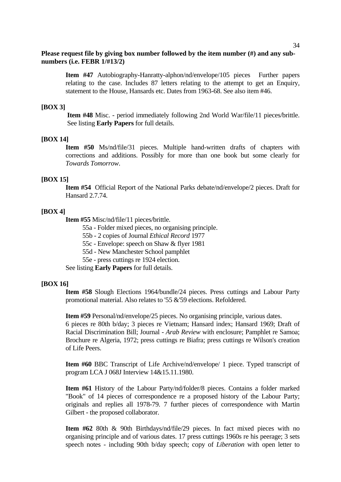**Item #47** Autobiography-Hanratty-alphon/nd/envelope/105 pieces Further papers relating to the case. Includes 87 letters relating to the attempt to get an Enquiry, statement to the House, Hansards etc. Dates from 1963-68. See also item #46.

#### **[BOX 3]**

**Item #48** Misc. - period immediately following 2nd World War/file/11 pieces/brittle. See listing **Early Papers** for full details.

#### **[BOX 14]**

**Item #50** Ms/nd/file/31 pieces. Multiple hand-written drafts of chapters with corrections and additions. Possibly for more than one book but some clearly for *Towards Tomorrow*.

#### **[BOX 15]**

**Item #54** Official Report of the National Parks debate/nd/envelope/2 pieces. Draft for Hansard 2.7.74.

#### **[BOX 4]**

**Item #55** Misc/nd/file/11 pieces/brittle.

- 55a Folder mixed pieces, no organising principle.
- 55b 2 copies of Journal *Ethical Record* 1977
- 55c Envelope: speech on Shaw & flyer 1981
- 55d New Manchester School pamphlet
- 55e press cuttings re 1924 election.

See listing **Early Papers** for full details.

#### **[BOX 16]**

**Item #58** Slough Elections 1964/bundle/24 pieces. Press cuttings and Labour Party promotional material. Also relates to '55 &'59 elections. Refoldered.

**Item #59** Personal/nd/envelope/25 pieces. No organising principle, various dates. 6 pieces re 80th b/day; 3 pieces re Vietnam; Hansard index; Hansard 1969; Draft of Racial Discrimination Bill; Journal - *Arab Review* with enclosure; Pamphlet re Samoa; Brochure re Algeria, 1972; press cuttings re Biafra; press cuttings re Wilson's creation of Life Peers.

**Item #60** BBC Transcript of Life Archive/nd/envelope/ 1 piece. Typed transcript of program LCA J 068J Interview 14&15.11.1980.

**Item #61** History of the Labour Party/nd/folder/8 pieces. Contains a folder marked "Book" of 14 pieces of correspondence re a proposed history of the Labour Party; originals and replies all 1978-79. 7 further pieces of correspondence with Martin Gilbert - the proposed collaborator.

**Item #62** 80th & 90th Birthdays/nd/file/29 pieces. In fact mixed pieces with no organising principle and of various dates. 17 press cuttings 1960s re his peerage; 3 sets speech notes - including 90th b/day speech; copy of *Liberation* with open letter to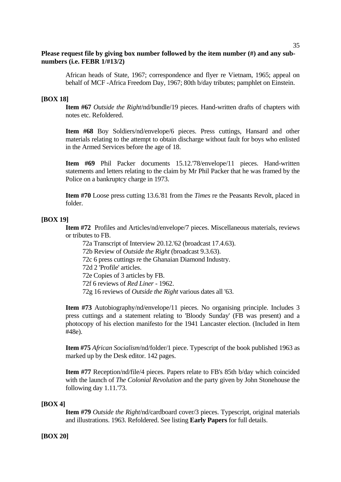African heads of State, 1967; correspondence and flyer re Vietnam, 1965; appeal on behalf of MCF -Africa Freedom Day, 1967; 80th b/day tributes; pamphlet on Einstein.

## **[BOX 18]**

**Item #67** *Outside the Right*/nd/bundle/19 pieces. Hand-written drafts of chapters with notes etc. Refoldered.

**Item #68** Boy Soldiers/nd/envelope/6 pieces. Press cuttings, Hansard and other materials relating to the attempt to obtain discharge without fault for boys who enlisted in the Armed Services before the age of 18.

**Item #69** Phil Packer documents 15.12.'78/envelope/11 pieces. Hand-written statements and letters relating to the claim by Mr Phil Packer that he was framed by the Police on a bankruptcy charge in 1973.

**Item #70** Loose press cutting 13.6.'81 from the *Times* re the Peasants Revolt, placed in folder.

## **[BOX 19]**

**Item #72** Profiles and Articles/nd/envelope/7 pieces. Miscellaneous materials, reviews or tributes to FB.

72a Transcript of Interview 20.12.'62 (broadcast 17.4.63).

72b Review of *Outside the Right* (broadcast 9.3.63).

72c 6 press cuttings re the Ghanaian Diamond Industry.

72d 2 'Profile' articles.

72e Copies of 3 articles by FB.

72f 6 reviews of *Red Liner* - 1962.

72g 16 reviews of *Outside the Right* various dates all '63.

**Item #73** Autobiography/nd/envelope/11 pieces. No organising principle. Includes 3 press cuttings and a statement relating to 'Bloody Sunday' (FB was present) and a photocopy of his election manifesto for the 1941 Lancaster election. (Included in Item #48e).

**Item #75** *African Socialism*/nd/folder/1 piece. Typescript of the book published 1963 as marked up by the Desk editor. 142 pages.

**Item #77** Reception/nd/file/4 pieces. Papers relate to FB's 85th b/day which coincided with the launch of *The Colonial Revolution* and the party given by John Stonehouse the following day 1.11.'73.

#### **[BOX 4]**

**Item #79** *Outside the Right*/nd/cardboard cover/3 pieces. Typescript, original materials and illustrations. 1963. Refoldered. See listing **Early Papers** for full details.

## **[BOX 20]**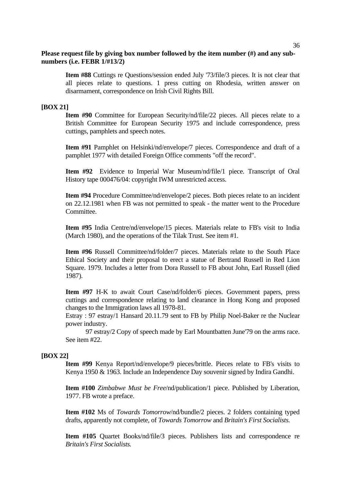**Item #88** Cuttings re Questions/session ended July '73/file/3 pieces. It is not clear that all pieces relate to questions. 1 press cutting on Rhodesia, written answer on disarmament, correspondence on Irish Civil Rights Bill.

#### **[BOX 21]**

**Item #90** Committee for European Security/nd/file/22 pieces. All pieces relate to a British Committee for European Security 1975 and include correspondence, press cuttings, pamphlets and speech notes.

**Item #91** Pamphlet on Helsinki/nd/envelope/7 pieces. Correspondence and draft of a pamphlet 1977 with detailed Foreign Office comments "off the record".

**Item #92** Evidence to Imperial War Museum/nd/file/1 piece. Transcript of Oral History tape 000476/04: copyright IWM unrestricted access.

**Item #94** Procedure Committee/nd/envelope/2 pieces. Both pieces relate to an incident on 22.12.1981 when FB was not permitted to speak - the matter went to the Procedure Committee.

**Item #95** India Centre/nd/envelope/15 pieces. Materials relate to FB's visit to India (March 1980), and the operations of the Tilak Trust. See item #1.

**Item #96** Russell Committee/nd/folder/7 pieces. Materials relate to the South Place Ethical Society and their proposal to erect a statue of Bertrand Russell in Red Lion Square. 1979. Includes a letter from Dora Russell to FB about John, Earl Russell (died 1987).

**Item #97** H-K to await Court Case/nd/folder/6 pieces. Government papers, press cuttings and correspondence relating to land clearance in Hong Kong and proposed changes to the Immigration laws all 1978-81.

Estray : 97 estray/1 Hansard 20.11.79 sent to FB by Philip Noel-Baker re the Nuclear power industry.

 97 estray/2 Copy of speech made by Earl Mountbatten June'79 on the arms race. See item #22.

#### **[BOX 22]**

**Item #99** Kenya Report/nd/envelope/9 pieces/brittle. Pieces relate to FB's visits to Kenya 1950 & 1963. Include an Independence Day souvenir signed by Indira Gandhi.

**Item #100** *Zimbabwe Must be Free*/nd/publication/1 piece. Published by Liberation, 1977. FB wrote a preface.

**Item #102** Ms of *Towards Tomorrow*/nd/bundle/2 pieces. 2 folders containing typed drafts, apparently not complete, of *Towards Tomorrow* and *Britain's First Socialists.*

**Item #105** Quartet Books/nd/file/3 pieces. Publishers lists and correspondence re *Britain's First Socialists.*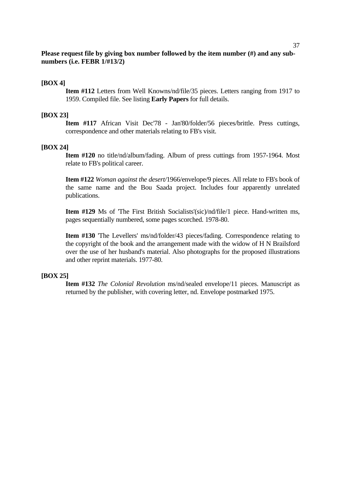#### **[BOX 4]**

**Item #112** Letters from Well Knowns/nd/file/35 pieces. Letters ranging from 1917 to 1959. Compiled file. See listing **Early Papers** for full details.

#### **[BOX 23]**

**Item #117** African Visit Dec'78 - Jan'80/folder/56 pieces/brittle. Press cuttings, correspondence and other materials relating to FB's visit.

#### **[BOX 24]**

**Item #120** no title/nd/album/fading. Album of press cuttings from 1957-1964. Most relate to FB's political career.

**Item #122** *Woman against the desert/*1966/envelope/9 pieces. All relate to FB's book of the same name and the Bou Saada project. Includes four apparently unrelated publications.

**Item #129** Ms of 'The First British Socialists'(sic)/nd/file/1 piece. Hand-written ms, pages sequentially numbered, some pages scorched. 1978-80.

**Item #130** 'The Levellers' ms/nd/folder/43 pieces/fading. Correspondence relating to the copyright of the book and the arrangement made with the widow of H N Brailsford over the use of her husband's material. Also photographs for the proposed illustrations and other reprint materials. 1977-80.

#### **[BOX 25]**

**Item #132** *The Colonial Revolution* ms/nd/sealed envelope/11 pieces. Manuscript as returned by the publisher, with covering letter, nd. Envelope postmarked 1975.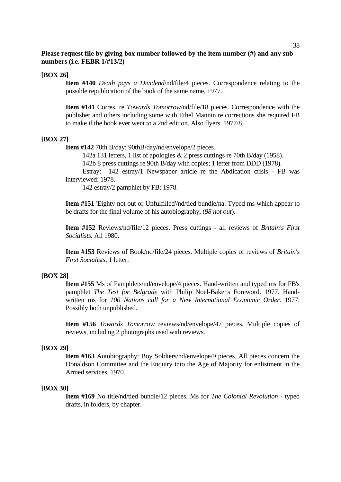#### **[BOX 26]**

**Item #140** *Death pays a Dividend*/nd/file/4 pieces. Correspondence relating to the possible republication of the book of the same name, 1977.

**Item #141** Corres. re *Towards Tomorrow*/nd/file/18 pieces. Correspondence with the publisher and others including some with Ethel Mannin re corrections she required FB to make if the book ever went to a 2nd edition. Also flyers. 1977/8.

#### **[BOX 27]**

**Item #142** 70th B/day; 90thB/day/nd/envelope/2 pieces.

142a 131 letters, 1 list of apologies & 2 press cuttings re 70th B/day (1958).

142b 8 press cuttings re 90th B/day with copies; 1 letter from DDD (1978).

 Estray: 142 estray/1 Newspaper article re the Abdication crisis - FB was interviewed: 1978.

142 estray/2 pamphlet by FB: 1978.

**Item #151** 'Eighty not out or Unfulfilled'/nd/tied bundle/na. Typed ms which appear to be drafts for the final volume of his autobiography, (*98 not out*).

**Item #152** Reviews/nd/file/12 pieces. Press cuttings - all reviews of *Britain's First Socialists.* All 1980.

**Item #153** Reviews of Book/nd/file/24 pieces. Multiple copies of reviews of *Britain's First Socialists*, 1 letter.

#### **[BOX 28]**

**Item #155** Ms of Pamphlets/nd/envelope/4 pieces. Hand-written and typed ms for FB's pamphlet *The Test for Belgrade* with Philip Noel-Baker's Foreword. 1977. Handwritten ms for *100 Nations call for a New International Economic Order.* 1977. Possibly both unpublished.

**Item #156** *Towards Tomorrow* reviews/nd/envelope/47 pieces. Multiple copies of reviews, including 2 photographs used with reviews.

#### **[BOX 29]**

**Item #163** Autobiography: Boy Soldiers/nd/envelope/9 pieces. All pieces concern the Donaldson Committee and the Enquiry into the Age of Majority for enlistment in the Armed services. 1970.

#### **[BOX 30]**

**Item #169** No title/nd/tied bundle/12 pieces. Ms for *The Colonial Revolution* - typed drafts, in folders, by chapter.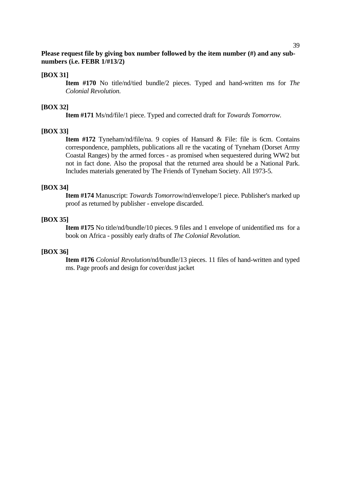#### **[BOX 31]**

**Item #170** No title/nd/tied bundle/2 pieces. Typed and hand-written ms for *The Colonial Revolution.*

## **[BOX 32]**

**Item #171** Ms/nd/file/1 piece. Typed and corrected draft for *Towards Tomorrow.*

## **[BOX 33]**

**Item #172** Tyneham/nd/file/na. 9 copies of Hansard & File: file is 6cm. Contains correspondence, pamphlets, publications all re the vacating of Tyneham (Dorset Army Coastal Ranges) by the armed forces - as promised when sequestered during WW2 but not in fact done. Also the proposal that the returned area should be a National Park. Includes materials generated by The Friends of Tyneham Society. All 1973-5.

#### **[BOX 34]**

**Item #174** Manuscript: *Towards Tomorrow*/nd/envelope/1 piece. Publisher's marked up proof as returned by publisher - envelope discarded.

## **[BOX 35]**

**Item #175** No title/nd/bundle/10 pieces. 9 files and 1 envelope of unidentified ms for a book on Africa - possibly early drafts of *The Colonial Revolution.*

#### **[BOX 36]**

**Item #176** *Colonial Revolution*/nd/bundle/13 pieces. 11 files of hand-written and typed ms. Page proofs and design for cover/dust jacket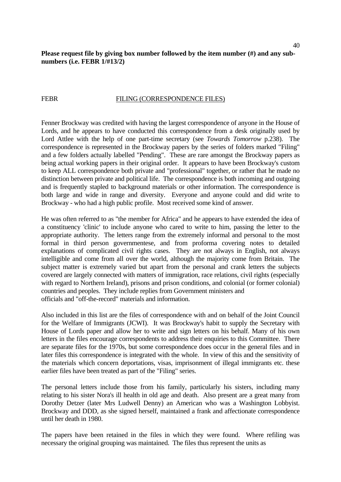## FILING (CORRESPONDENCE FILES)

Fenner Brockway was credited with having the largest correspondence of anyone in the House of Lords, and he appears to have conducted this correspondence from a desk originally used by Lord Attlee with the help of one part-time secretary (see *Towards Tomorrow* p.238). The correspondence is represented in the Brockway papers by the series of folders marked "Filing" and a few folders actually labelled "Pending". These are rare amongst the Brockway papers as being actual working papers in their original order. It appears to have been Brockway's custom to keep ALL correspondence both private and "professional" together, or rather that he made no distinction between private and political life. The correspondence is both incoming and outgoing and is frequently stapled to background materials or other information. The correspondence is both large and wide in range and diversity. Everyone and anyone could and did write to Brockway - who had a high public profile. Most received some kind of answer.

He was often referred to as "the member for Africa" and he appears to have extended the idea of a constituency 'clinic' to include anyone who cared to write to him, passing the letter to the appropriate authority. The letters range from the extremely informal and personal to the most formal in third person governmentese, and from proforma covering notes to detailed explanations of complicated civil rights cases. They are not always in English, not always intelligible and come from all over the world, although the majority come from Britain. The subject matter is extremely varied but apart from the personal and crank letters the subjects covered are largely connected with matters of immigration, race relations, civil rights (especially with regard to Northern Ireland), prisons and prison conditions, and colonial (or former colonial) countries and peoples. They include replies from Government ministers and officials and "off-the-record" materials and information.

Also included in this list are the files of correspondence with and on behalf of the Joint Council for the Welfare of Immigrants (JCWI). It was Brockway's habit to supply the Secretary with House of Lords paper and allow her to write and sign letters on his behalf. Many of his own letters in the files encourage correspondents to address their enquiries to this Committee. There are separate files for the 1970s, but some correspondence does occur in the general files and in later files this correspondence is integrated with the whole. In view of this and the sensitivity of the materials which concern deportations, visas, imprisonment of illegal immigrants etc. these earlier files have been treated as part of the "Filing" series.

The personal letters include those from his family, particularly his sisters, including many relating to his sister Nora's ill health in old age and death. Also present are a great many from Dorothy Detzer (later Mrs Ludwell Denny) an American who was a Washington Lobbyist. Brockway and DDD, as she signed herself, maintained a frank and affectionate correspondence until her death in 1980.

The papers have been retained in the files in which they were found. Where refiling was necessary the original grouping was maintained. The files thus represent the units as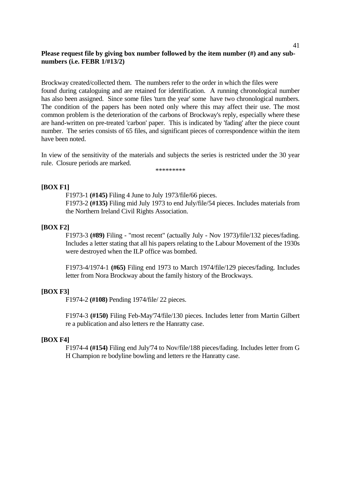Brockway created/collected them. The numbers refer to the order in which the files were found during cataloguing and are retained for identification. A running chronological number has also been assigned. Since some files 'turn the year' some have two chronological numbers. The condition of the papers has been noted only where this may affect their use. The most common problem is the deterioration of the carbons of Brockway's reply, especially where these are hand-written on pre-treated 'carbon' paper. This is indicated by 'fading' after the piece count number. The series consists of 65 files, and significant pieces of correspondence within the item have been noted.

In view of the sensitivity of the materials and subjects the series is restricted under the 30 year rule. Closure periods are marked.

\*\*\*\*\*\*\*\*\*

## **[BOX F1]**

F1973-1 **(#145)** Filing 4 June to July 1973/file/66 pieces. F1973-2 **(#135)** Filing mid July 1973 to end July/file/54 pieces. Includes materials from the Northern Ireland Civil Rights Association.

#### **[BOX F2]**

F1973-3 **(#89)** Filing - "most recent" (actually July - Nov 1973)/file/132 pieces/fading. Includes a letter stating that all his papers relating to the Labour Movement of the 1930s were destroyed when the ILP office was bombed.

F1973-4/1974-1 **(#65)** Filing end 1973 to March 1974/file/129 pieces/fading. Includes letter from Nora Brockway about the family history of the Brockways.

## **[BOX F3]**

F1974-2 **(#108)** Pending 1974/file/ 22 pieces.

F1974-3 **(#150)** Filing Feb-May'74/file/130 pieces. Includes letter from Martin Gilbert re a publication and also letters re the Hanratty case.

#### **[BOX F4]**

F1974-4 **(#154)** Filing end July'74 to Nov/file/188 pieces/fading. Includes letter from G H Champion re bodyline bowling and letters re the Hanratty case.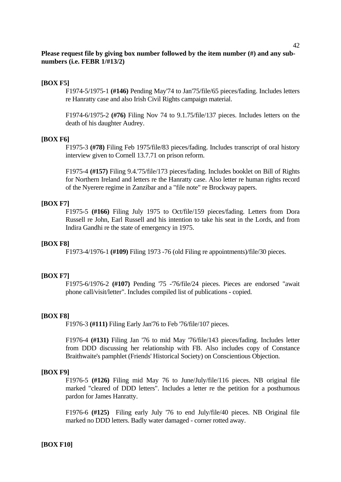## **[BOX F5]**

F1974-5/1975-1 **(#146)** Pending May'74 to Jan'75/file/65 pieces/fading. Includes letters re Hanratty case and also Irish Civil Rights campaign material.

F1974-6/1975-2 **(#76)** Filing Nov 74 to 9.1.75/file/137 pieces. Includes letters on the death of his daughter Audrey.

#### **[BOX F6]**

F1975-3 **(#78)** Filing Feb 1975/file/83 pieces/fading. Includes transcript of oral history interview given to Cornell 13.7.71 on prison reform.

F1975-4 **(#157)** Filing 9.4.'75/file/173 pieces/fading. Includes booklet on Bill of Rights for Northern Ireland and letters re the Hanratty case. Also letter re human rights record of the Nyerere regime in Zanzibar and a "file note" re Brockway papers.

## **[BOX F7]**

F1975-5 **(#166)** Filing July 1975 to Oct/file/159 pieces/fading. Letters from Dora Russell re John, Earl Russell and his intention to take his seat in the Lords, and from Indira Gandhi re the state of emergency in 1975.

#### **[BOX F8]**

F1973-4/1976-1 **(#109)** Filing 1973 -76 (old Filing re appointments)/file/30 pieces.

#### **[BOX F7]**

F1975-6/1976-2 **(#107)** Pending '75 -'76/file/24 pieces. Pieces are endorsed "await phone call/visit/letter". Includes compiled list of publications - copied.

#### **[BOX F8]**

F1976-3 **(#111)** Filing Early Jan'76 to Feb '76/file/107 pieces.

F1976-4 **(#131)** Filing Jan '76 to mid May '76/file/143 pieces/fading. Includes letter from DDD discussing her relationship with FB. Also includes copy of Constance Braithwaite's pamphlet (Friends' Historical Society) on Conscientious Objection.

#### **[BOX F9]**

F1976-5 **(#126)** Filing mid May 76 to June/July/file/116 pieces. NB original file marked "cleared of DDD letters". Includes a letter re the petition for a posthumous pardon for James Hanratty.

F1976-6 **(#125)** Filing early July '76 to end July/file/40 pieces. NB Original file marked no DDD letters. Badly water damaged - corner rotted away.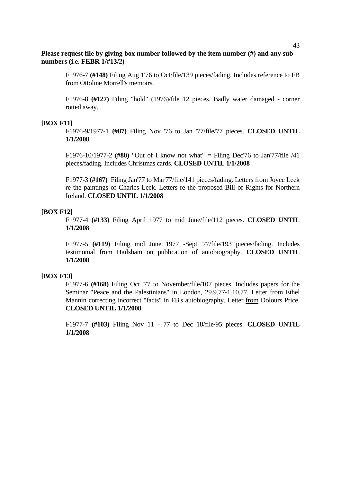F1976-7 **(#148)** Filing Aug 1'76 to Oct/file/139 pieces/fading. Includes reference to FB from Ottoline Morrell's memoirs.

F1976-8 **(#127)** Filing "hold" (1976)/file 12 pieces. Badly water damaged - corner rotted away.

## **[BOX F11]**

F1976-9/1977-1 **(#87)** Filing Nov '76 to Jan '77/file/77 pieces. **CLOSED UNTIL 1/1/2008** 

F1976-10/1977-2 **(#80)** "Out of I know not what" = Filing Dec'76 to Jan'77/file /41 pieces/fading. Includes Christmas cards. **CLOSED UNTIL 1/1/2008**

F1977-3 **(#167)** Filing Jan'77 to Mar'77/file/141 pieces/fading. Letters from Joyce Leek re the paintings of Charles Leek. Letters re the proposed Bill of Rights for Northern Ireland. **CLOSED UNTIL 1/1/2008**

## **[BOX F12]**

F1977-4 **(#133)** Filing April 1977 to mid June/file/112 pieces. **CLOSED UNTIL 1/1/2008**

F1977-5 **(#119)** Filing mid June 1977 -Sept '77/file/193 pieces/fading. Includes testimonial from Hailsham on publication of autobiography. **CLOSED UNTIL 1/1/2008**

#### **[BOX F13]**

F1977-6 **(#168)** Filing Oct '77 to November/file/107 pieces. Includes papers for the Seminar "Peace and the Palestinians" in London, 29.9.77-1.10.77. Letter from Ethel Mannin correcting incorrect "facts" in FB's autobiography. Letter from Dolours Price. **CLOSED UNTIL 1/1/2008**

F1977-7 **(#103)** Filing Nov 11 - 77 to Dec 18/file/95 pieces. **CLOSED UNTIL 1/1/2008**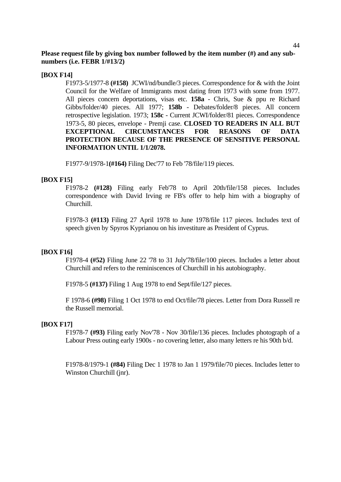## **[BOX F14]**

F1973-5/1977-8 **(#158)** JCWI/nd/bundle/3 pieces. Correspondence for & with the Joint Council for the Welfare of Immigrants most dating from 1973 with some from 1977. All pieces concern deportations, visas etc. **158a** - Chris, Sue & ppu re Richard Gibbs/folder/40 pieces. All 1977; **158b** - Debates/folder/8 pieces. All concern retrospective legislation. 1973; **158c** - Current JCWI/folder/81 pieces. Correspondence 1973-5, 80 pieces, envelope - Premji case. **CLOSED TO READERS IN ALL BUT EXCEPTIONAL CIRCUMSTANCES FOR REASONS OF DATA PROTECTION BECAUSE OF THE PRESENCE OF SENSITIVE PERSONAL INFORMATION UNTIL 1/1/2078.** 

F1977-9/1978-1**(#164)** Filing Dec'77 to Feb '78/file/119 pieces.

## **[BOX F15]**

F1978-2 **(#128)** Filing early Feb'78 to April 20th/file/158 pieces. Includes correspondence with David Irving re FB's offer to help him with a biography of Churchill.

F1978-3 **(#113)** Filing 27 April 1978 to June 1978/file 117 pieces. Includes text of speech given by Spyros Kyprianou on his investiture as President of Cyprus.

## **[BOX F16]**

F1978-4 **(#52)** Filing June 22 '78 to 31 July'78/file/100 pieces. Includes a letter about Churchill and refers to the reminiscences of Churchill in his autobiography.

F1978-5 **(#137)** Filing 1 Aug 1978 to end Sept/file/127 pieces.

F 1978-6 **(#98)** Filing 1 Oct 1978 to end Oct/file/78 pieces. Letter from Dora Russell re the Russell memorial.

#### **[BOX F17]**

F1978-7 **(#93)** Filing early Nov'78 - Nov 30/file/136 pieces. Includes photograph of a Labour Press outing early 1900s - no covering letter, also many letters re his 90th b/d.

F1978-8/1979-1 **(#84)** Filing Dec 1 1978 to Jan 1 1979/file/70 pieces. Includes letter to Winston Churchill (jnr).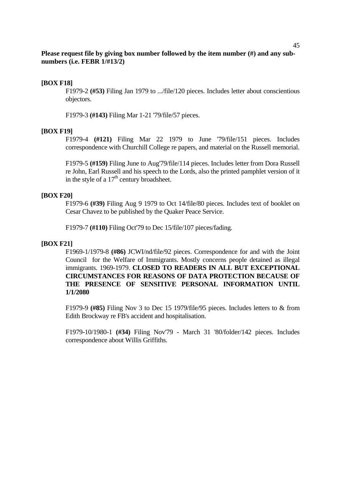## **[BOX F18]**

F1979-2 **(#53)** Filing Jan 1979 to .../file/120 pieces. Includes letter about conscientious objectors.

F1979-3 **(#143)** Filing Mar 1-21 '79/file/57 pieces.

## **[BOX F19]**

F1979-4 **(#121)** Filing Mar 22 1979 to June '79/file/151 pieces. Includes correspondence with Churchill College re papers, and material on the Russell memorial.

F1979-5 **(#159)** Filing June to Aug'79/file/114 pieces. Includes letter from Dora Russell re John, Earl Russell and his speech to the Lords, also the printed pamphlet version of it in the style of a  $17<sup>th</sup>$  century broadsheet.

## **[BOX F20]**

F1979-6 **(#39)** Filing Aug 9 1979 to Oct 14/file/80 pieces. Includes text of booklet on Cesar Chavez to be published by the Quaker Peace Service.

F1979-7 **(#110)** Filing Oct'79 to Dec 15/file/107 pieces/fading.

## **[BOX F21]**

F1969-1/1979-8 **(#86)** JCWI/nd/file/92 pieces. Correspondence for and with the Joint Council for the Welfare of Immigrants. Mostly concerns people detained as illegal immigrants. 1969-1979. **CLOSED TO READERS IN ALL BUT EXCEPTIONAL CIRCUMSTANCES FOR REASONS OF DATA PROTECTION BECAUSE OF THE PRESENCE OF SENSITIVE PERSONAL INFORMATION UNTIL 1/1/2080**

F1979-9 **(#85)** Filing Nov 3 to Dec 15 1979/file/95 pieces. Includes letters to & from Edith Brockway re FB's accident and hospitalisation.

F1979-10/1980-1 **(#34)** Filing Nov'79 - March 31 '80/folder/142 pieces. Includes correspondence about Willis Griffiths.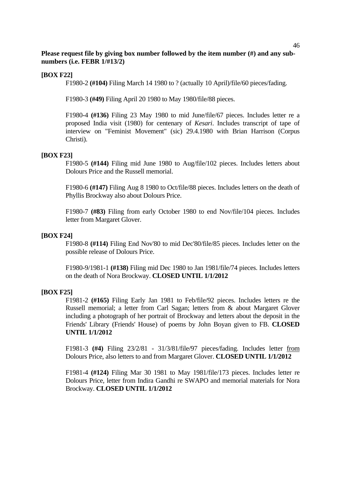## **[BOX F22]**

F1980-2 **(#104)** Filing March 14 1980 to ? (actually 10 April)/file/60 pieces/fading.

F1980-3 **(#49)** Filing April 20 1980 to May 1980/file/88 pieces.

F1980-4 **(#136)** Filing 23 May 1980 to mid June/file/67 pieces. Includes letter re a proposed India visit (1980) for centenary of *Kesari*. Includes transcript of tape of interview on "Feminist Movement" (sic) 29.4.1980 with Brian Harrison (Corpus Christi).

## **[BOX F23]**

F1980-5 **(#144)** Filing mid June 1980 to Aug/file/102 pieces. Includes letters about Dolours Price and the Russell memorial.

F1980-6 **(#147)** Filing Aug 8 1980 to Oct/file/88 pieces. Includes letters on the death of Phyllis Brockway also about Dolours Price.

F1980-7 **(#83)** Filing from early October 1980 to end Nov/file/104 pieces. Includes letter from Margaret Glover.

#### **[BOX F24]**

F1980-8 **(#114)** Filing End Nov'80 to mid Dec'80/file/85 pieces. Includes letter on the possible release of Dolours Price.

F1980-9/1981-1 **(#138)** Filing mid Dec 1980 to Jan 1981/file/74 pieces. Includes letters on the death of Nora Brockway. **CLOSED UNTIL 1/1/2012**

#### **[BOX F25]**

F1981-2 **(#165)** Filing Early Jan 1981 to Feb/file/92 pieces. Includes letters re the Russell memorial; a letter from Carl Sagan; letters from & about Margaret Glover including a photograph of her portrait of Brockway and letters about the deposit in the Friends' Library (Friends' House) of poems by John Boyan given to FB. **CLOSED UNTIL 1/1/2012**

F1981-3 **(#4)** Filing 23/2/81 - 31/3/81/file/97 pieces/fading. Includes letter from Dolours Price, also letters to and from Margaret Glover. **CLOSED UNTIL 1/1/2012**

F1981-4 **(#124)** Filing Mar 30 1981 to May 1981/file/173 pieces. Includes letter re Dolours Price, letter from Indira Gandhi re SWAPO and memorial materials for Nora Brockway. **CLOSED UNTIL 1/1/2012**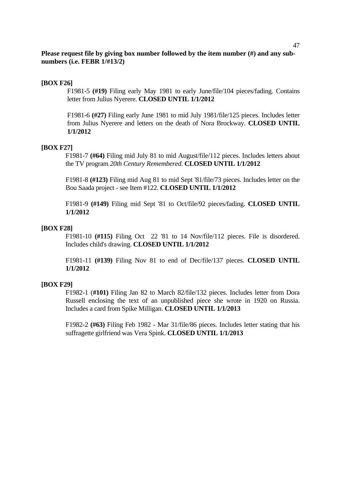## **[BOX F26]**

F1981-5 **(#19)** Filing early May 1981 to early June/file/104 pieces/fading. Contains letter from Julius Nyerere. **CLOSED UNTIL 1/1/2012**

F1981-6 **(#27)** Filing early June 1981 to mid July 1981/file/125 pieces. Includes letter from Julius Nyerere and letters on the death of Nora Brockway. **CLOSED UNTIL 1/1/2012**

#### **[BOX F27]**

F1981-7 **(#64)** Filing mid July 81 to mid August/file/112 pieces. Includes letters about the TV program *20th Century Remembered*. **CLOSED UNTIL 1/1/2012**

F1981-8 **(#123)** Filing mid Aug 81 to mid Sept '81/file/73 pieces. Includes letter on the Bou Saada project - see Item #122. **CLOSED UNTIL 1/1/2012**

F1981-9 **(#149)** Filing mid Sept '81 to Oct/file/92 pieces/fading. **CLOSED UNTIL 1/1/2012** 

#### **[BOX F28]**

F1981-10 **(#115)** Filing Oct 22 '81 to 14 Nov/file/112 pieces. File is disordered. Includes child's drawing. **CLOSED UNTIL 1/1/2012**

F1981-11 **(#139)** Filing Nov 81 to end of Dec/file/137 pieces. **CLOSED UNTIL 1/1/2012** 

## **[BOX F29]**

F1982-1 (**#101)** Filing Jan 82 to March 82/file/132 pieces. Includes letter from Dora Russell enclosing the text of an unpublished piece she wrote in 1920 on Russia. Includes a card from Spike Milligan. **CLOSED UNTIL 1/1/2013** 

F1982-2 **(#63)** Filing Feb 1982 - Mar 31/file/86 pieces. Includes letter stating that his suffragette girlfriend was Vera Spink. **CLOSED UNTIL 1/1/2013**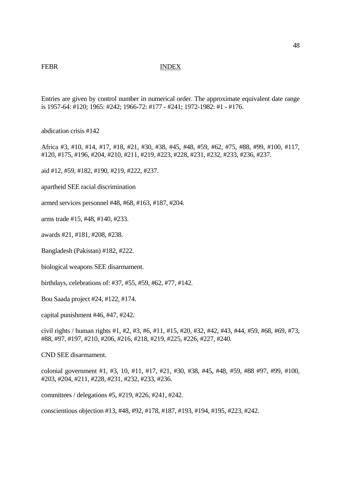## FEBR INDEX

Entries are given by control number in numerical order. The approximate equivalent date range is 1957-64: #120; 1965: #242; 1966-72: #177 - #241; 1972-1982: #1 - #176.

abdication crisis #142

Africa #3, #10, #14, #17, #18, #21, #30, #38, #45, #48, #59, #62, #75, #88, #99, #100, #117, #120, #175, #196, #204, #210, #211, #219, #223, #228, #231, #232, #233, #236, #237.

aid #12, #59, #182, #190, #219, #222, #237.

apartheid SEE racial discrimination

armed services personnel #48, #68, #163, #187, #204.

arms trade #15, #48, #140, #233.

awards #21, #181, #208, #238.

Bangladesh (Pakistan) #182, #222.

biological weapons SEE disarmament.

birthdays, celebrations of: #37, #55, #59, #62, #77, #142.

Bou Saada project #24, #122, #174.

capital punishment #46, #47, #242.

civil rights / human rights #1, #2, #3, #6, #11, #15, #20, #32, #42, #43, #44, #59, #68, #69, #73, #88, #97, #197, #210, #206, #216, #218, #219, #225, #226, #227, #240.

CND SEE disarmament.

colonial government #1, #3, 10, #11, #17, #21, #30, #38, #45, #48, #59, #88 #97, #99, #100, #203, #204, #211, #228, #231, #232, #233, #236.

committees / delegations #5, #219, #226, #241, #242.

conscientious objection #13, #48, #92, #178, #187, #193, #194, #195, #223, #242.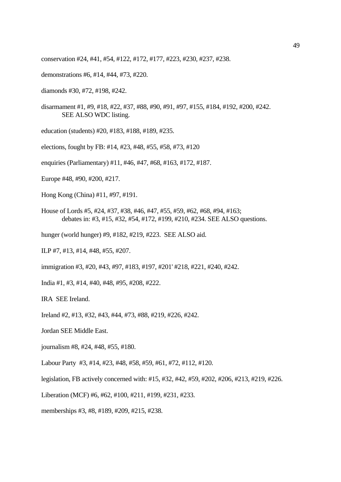conservation #24, #41, #54, #122, #172, #177, #223, #230, #237, #238.

- demonstrations #6, #14, #44, #73, #220.
- diamonds #30, #72, #198, #242.
- disarmament #1, #9, #18, #22, #37, #88, #90, #91, #97, #155, #184, #192, #200, #242. SEE ALSO WDC listing.
- education (students) #20, #183, #188, #189, #235.
- elections, fought by FB: #14, #23, #48, #55, #58, #73, #120
- enquiries (Parliamentary) #11, #46, #47, #68, #163, #172, #187.
- Europe #48, #90, #200, #217.
- Hong Kong (China) #11, #97, #191.
- House of Lords #5, #24, #37, #38, #46, #47, #55, #59, #62, #68, #94, #163; debates in: #3, #15, #32, #54, #172, #199, #210, #234. SEE ALSO questions.
- hunger (world hunger) #9, #182, #219, #223. SEE ALSO aid.
- ILP #7, #13, #14, #48, #55, #207.
- immigration #3, #20, #43, #97, #183, #197, #201' #218, #221, #240, #242.
- India #1, #3, #14, #40, #48, #95, #208, #222.

IRA SEE Ireland.

Ireland #2, #13, #32, #43, #44, #73, #88, #219, #226, #242.

Jordan SEE Middle East.

journalism #8, #24, #48, #55, #180.

Labour Party #3, #14, #23, #48, #58, #59, #61, #72, #112, #120.

legislation, FB actively concerned with: #15, #32, #42, #59, #202, #206, #213, #219, #226.

Liberation (MCF) #6, #62, #100, #211, #199, #231, #233.

memberships #3, #8, #189, #209, #215, #238.